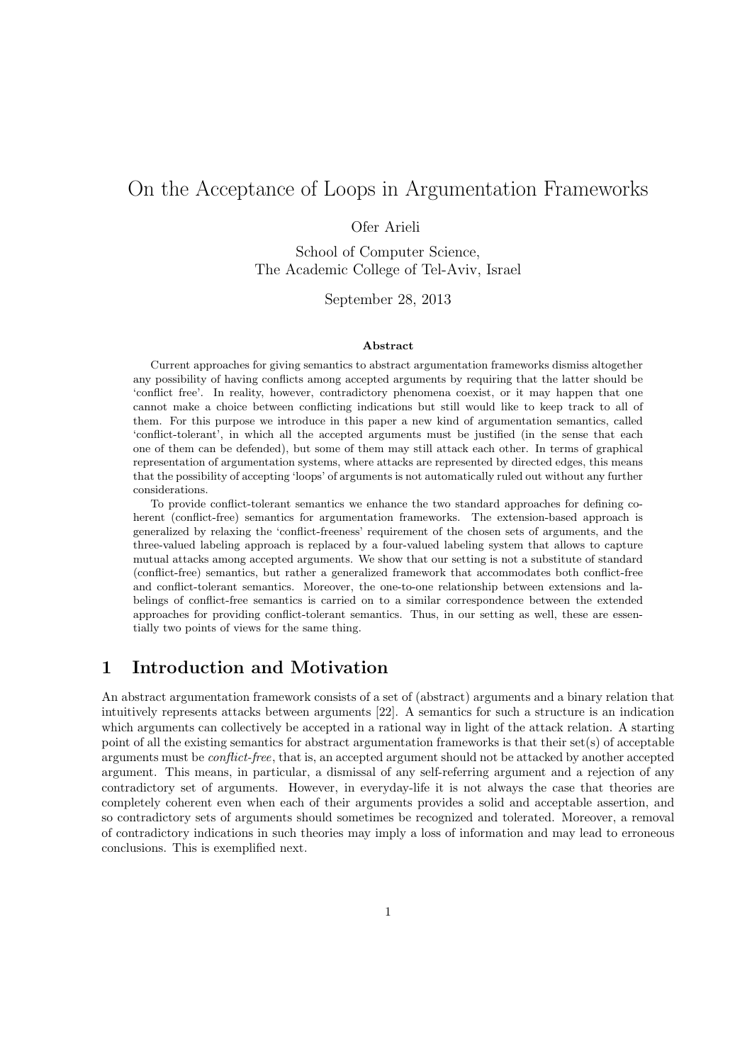# On the Acceptance of Loops in Argumentation Frameworks

Ofer Arieli

School of Computer Science, The Academic College of Tel-Aviv, Israel

September 28, 2013

#### **Abstract**

Current approaches for giving semantics to abstract argumentation frameworks dismiss altogether any possibility of having conflicts among accepted arguments by requiring that the latter should be 'conflict free'. In reality, however, contradictory phenomena coexist, or it may happen that one cannot make a choice between conflicting indications but still would like to keep track to all of them. For this purpose we introduce in this paper a new kind of argumentation semantics, called 'conflict-tolerant', in which all the accepted arguments must be justified (in the sense that each one of them can be defended), but some of them may still attack each other. In terms of graphical representation of argumentation systems, where attacks are represented by directed edges, this means that the possibility of accepting 'loops' of arguments is not automatically ruled out without any further considerations.

To provide conflict-tolerant semantics we enhance the two standard approaches for defining coherent (conflict-free) semantics for argumentation frameworks. The extension-based approach is generalized by relaxing the 'conflict-freeness' requirement of the chosen sets of arguments, and the three-valued labeling approach is replaced by a four-valued labeling system that allows to capture mutual attacks among accepted arguments. We show that our setting is not a substitute of standard (conflict-free) semantics, but rather a generalized framework that accommodates both conflict-free and conflict-tolerant semantics. Moreover, the one-to-one relationship between extensions and labelings of conflict-free semantics is carried on to a similar correspondence between the extended approaches for providing conflict-tolerant semantics. Thus, in our setting as well, these are essentially two points of views for the same thing.

# **1 Introduction and Motivation**

An abstract argumentation framework consists of a set of (abstract) arguments and a binary relation that intuitively represents attacks between arguments [22]. A semantics for such a structure is an indication which arguments can collectively be accepted in a rational way in light of the attack relation. A starting point of all the existing semantics for abstract argumentation frameworks is that their set(s) of acceptable arguments must be *conflict-free*, that is, an accepted argument should not be attacked by another accepted argument. This means, in particular, a dismissal of any self-referring argument and a rejection of any contradictory set of arguments. However, in everyday-life it is not always the case that theories are completely coherent even when each of their arguments provides a solid and acceptable assertion, and so contradictory sets of arguments should sometimes be recognized and tolerated. Moreover, a removal of contradictory indications in such theories may imply a loss of information and may lead to erroneous conclusions. This is exemplified next.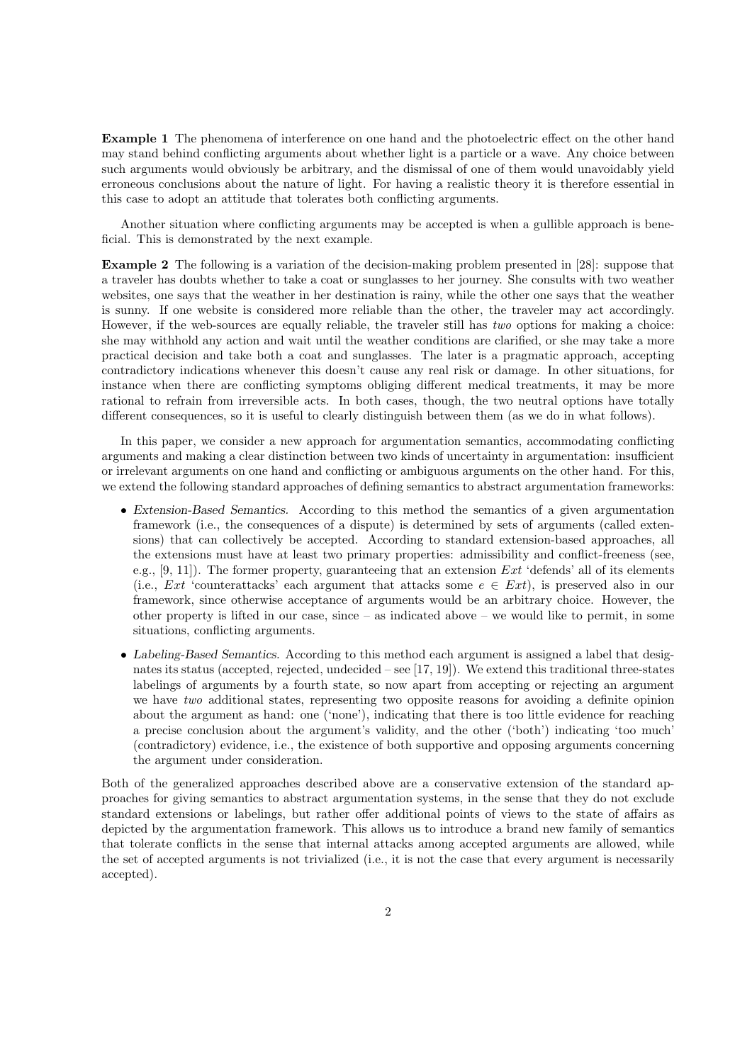**Example 1** The phenomena of interference on one hand and the photoelectric effect on the other hand may stand behind conflicting arguments about whether light is a particle or a wave. Any choice between such arguments would obviously be arbitrary, and the dismissal of one of them would unavoidably yield erroneous conclusions about the nature of light. For having a realistic theory it is therefore essential in this case to adopt an attitude that tolerates both conflicting arguments.

Another situation where conflicting arguments may be accepted is when a gullible approach is beneficial. This is demonstrated by the next example.

**Example 2** The following is a variation of the decision-making problem presented in [28]: suppose that a traveler has doubts whether to take a coat or sunglasses to her journey. She consults with two weather websites, one says that the weather in her destination is rainy, while the other one says that the weather is sunny. If one website is considered more reliable than the other, the traveler may act accordingly. However, if the web-sources are equally reliable, the traveler still has *two* options for making a choice: she may withhold any action and wait until the weather conditions are clarified, or she may take a more practical decision and take both a coat and sunglasses. The later is a pragmatic approach, accepting contradictory indications whenever this doesn't cause any real risk or damage. In other situations, for instance when there are conflicting symptoms obliging different medical treatments, it may be more rational to refrain from irreversible acts. In both cases, though, the two neutral options have totally different consequences, so it is useful to clearly distinguish between them (as we do in what follows).

In this paper, we consider a new approach for argumentation semantics, accommodating conflicting arguments and making a clear distinction between two kinds of uncertainty in argumentation: insufficient or irrelevant arguments on one hand and conflicting or ambiguous arguments on the other hand. For this, we extend the following standard approaches of defining semantics to abstract argumentation frameworks:

- *Extension-Based Semantics.* According to this method the semantics of a given argumentation framework (i.e., the consequences of a dispute) is determined by sets of arguments (called extensions) that can collectively be accepted. According to standard extension-based approaches, all the extensions must have at least two primary properties: admissibility and conflict-freeness (see, e.g., [9, 11]). The former property, guaranteeing that an extension *Ext* 'defends' all of its elements (i.e., *Ext* 'counterattacks' each argument that attacks some  $e \in Ext$ ), is preserved also in our framework, since otherwise acceptance of arguments would be an arbitrary choice. However, the other property is lifted in our case, since  $-$  as indicated above  $-$  we would like to permit, in some situations, conflicting arguments.
- *• Labeling-Based Semantics.* According to this method each argument is assigned a label that designates its status (accepted, rejected, undecided – see  $[17, 19]$ ). We extend this traditional three-states labelings of arguments by a fourth state, so now apart from accepting or rejecting an argument we have *two* additional states, representing two opposite reasons for avoiding a definite opinion about the argument as hand: one ('none'), indicating that there is too little evidence for reaching a precise conclusion about the argument's validity, and the other ('both') indicating 'too much' (contradictory) evidence, i.e., the existence of both supportive and opposing arguments concerning the argument under consideration.

Both of the generalized approaches described above are a conservative extension of the standard approaches for giving semantics to abstract argumentation systems, in the sense that they do not exclude standard extensions or labelings, but rather offer additional points of views to the state of affairs as depicted by the argumentation framework. This allows us to introduce a brand new family of semantics that tolerate conflicts in the sense that internal attacks among accepted arguments are allowed, while the set of accepted arguments is not trivialized (i.e., it is not the case that every argument is necessarily accepted).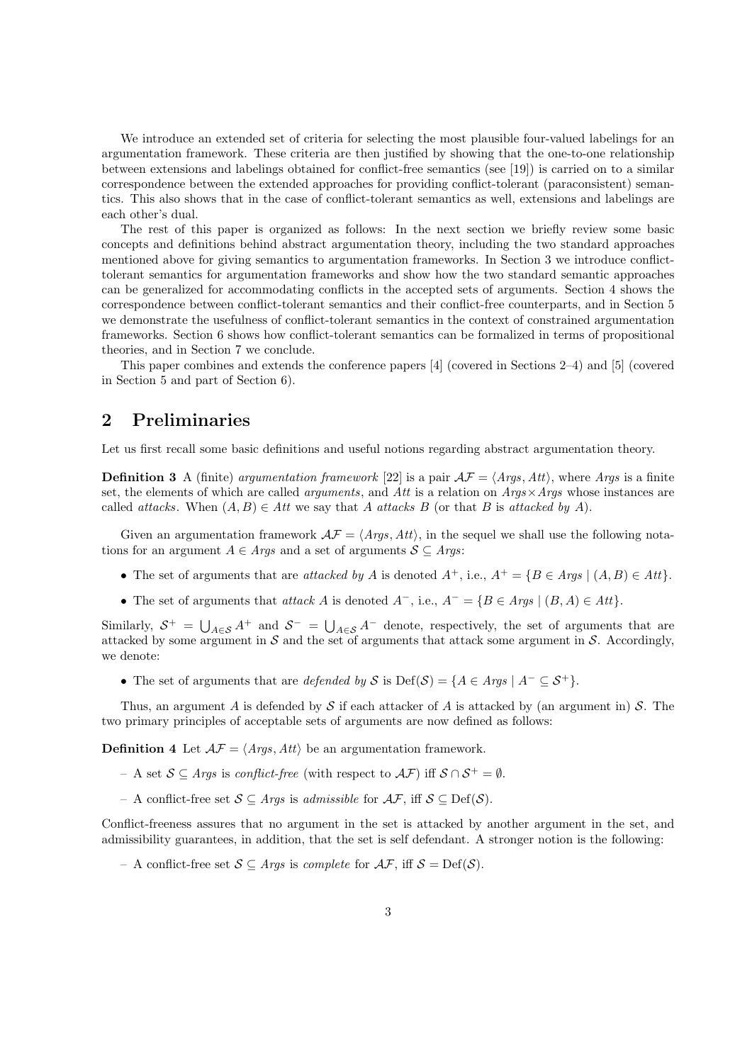We introduce an extended set of criteria for selecting the most plausible four-valued labelings for an argumentation framework. These criteria are then justified by showing that the one-to-one relationship between extensions and labelings obtained for conflict-free semantics (see [19]) is carried on to a similar correspondence between the extended approaches for providing conflict-tolerant (paraconsistent) semantics. This also shows that in the case of conflict-tolerant semantics as well, extensions and labelings are each other's dual.

The rest of this paper is organized as follows: In the next section we briefly review some basic concepts and definitions behind abstract argumentation theory, including the two standard approaches mentioned above for giving semantics to argumentation frameworks. In Section 3 we introduce conflicttolerant semantics for argumentation frameworks and show how the two standard semantic approaches can be generalized for accommodating conflicts in the accepted sets of arguments. Section 4 shows the correspondence between conflict-tolerant semantics and their conflict-free counterparts, and in Section 5 we demonstrate the usefulness of conflict-tolerant semantics in the context of constrained argumentation frameworks. Section 6 shows how conflict-tolerant semantics can be formalized in terms of propositional theories, and in Section 7 we conclude.

This paper combines and extends the conference papers [4] (covered in Sections 2–4) and [5] (covered in Section 5 and part of Section 6).

# **2 Preliminaries**

Let us first recall some basic definitions and useful notions regarding abstract argumentation theory.

**Definition 3** A (finite) *argumentation framework* [22] is a pair  $\mathcal{AF} = \langle \mathcal{Args}, \mathcal{Att} \rangle$ , where  $\mathcal{Args}$  is a finite set, the elements of which are called *arguments*, and *Att* is a relation on *Args×Args* whose instances are called *attacks*. When  $(A, B) \in Att$  we say that *A attacks B* (or that *B* is *attacked by A*).

Given an argumentation framework  $A\mathcal{F} = \langle Args, Att \rangle$ , in the sequel we shall use the following notations for an argument  $A \in \text{Args}$  and a set of arguments  $S \subseteq \text{Args}$ :

- *•* The set of arguments that are *attacked by A* is denoted *A*<sup>+</sup>, i.e., *A*<sup>+</sup> = *{B ∈ Args |* (*A, B*) *∈ Att}*.
- *•* The set of arguments that *attack A* is denoted *A−*, i.e., *A<sup>−</sup>* = *{B ∈ Args |* (*B, A*) *∈ Att}*.

Similarly,  $S^+ = \bigcup_{A \in S} A^+$  and  $S^- = \bigcup_{A \in S} A^-$  denote, respectively, the set of arguments that are attacked by some argument in S and the set of arguments that attack some argument in S. Accordingly, we denote:

• The set of arguments that are *defended by*  $S$  is Def( $S$ ) = { $A \in \text{Args} \mid A^{-} \subseteq S^{+}$  }.

Thus, an argument *A* is defended by *S* if each attacker of *A* is attacked by (an argument in) *S*. The two primary principles of acceptable sets of arguments are now defined as follows:

**Definition 4** Let  $\mathcal{AF} = \langle \text{Args}, \text{Att} \rangle$  be an argumentation framework.

- A set *S ⊆ Args* is *conflict-free* (with respect to *AF*) iff *S ∩ S*<sup>+</sup> = *∅*.
- A conflict-free set *S ⊆ Args* is *admissible* for *AF*, iff *S ⊆* Def(*S*).

Conflict-freeness assures that no argument in the set is attacked by another argument in the set, and admissibility guarantees, in addition, that the set is self defendant. A stronger notion is the following:

– A conflict-free set *S ⊆ Args* is *complete* for *AF*, iff *S* = Def(*S*).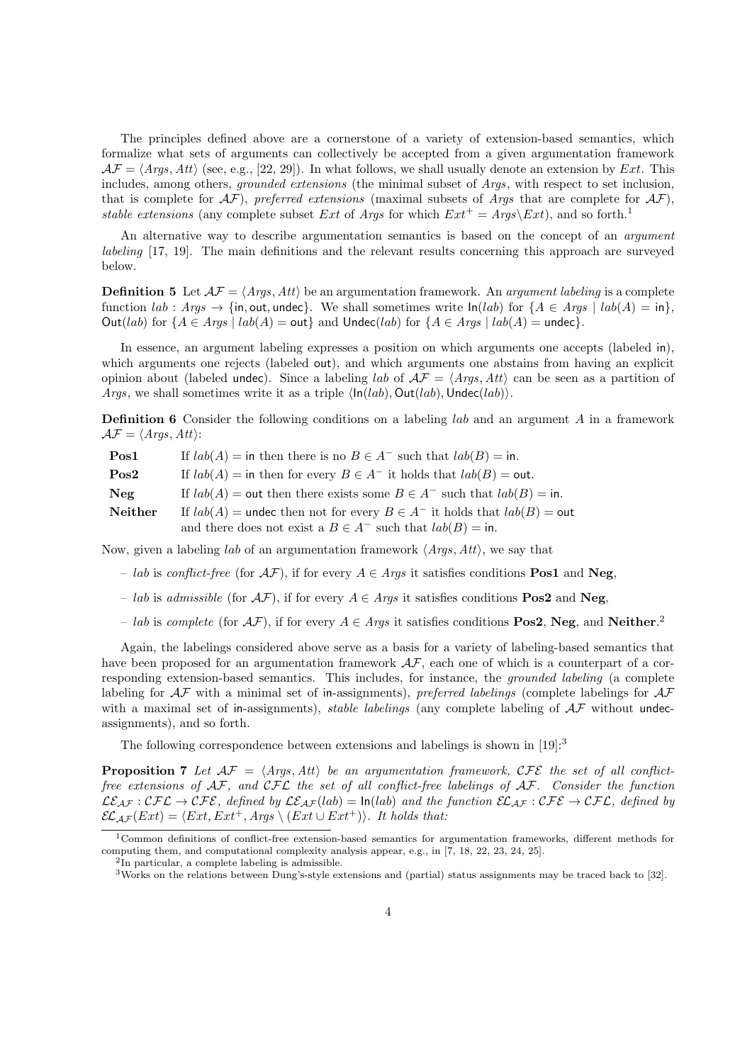The principles defined above are a cornerstone of a variety of extension-based semantics, which formalize what sets of arguments can collectively be accepted from a given argumentation framework  $\mathcal{AF} = \langle \textit{Args}, \textit{Att} \rangle$  (see, e.g., [22, 29]). In what follows, we shall usually denote an extension by *Ext*. This includes, among others, *grounded extensions* (the minimal subset of *Args*, with respect to set inclusion, that is complete for  $\mathcal{AF}$ ), *preferred extensions* (maximal subsets of *Args* that are complete for  $\mathcal{AF}$ ), *stable extensions* (any complete subset *Ext* of *Args* for which  $Ext^+ = Args\text{\textbackslash}Ext$ ), and so forth.<sup>1</sup>

An alternative way to describe argumentation semantics is based on the concept of an *argument labeling* [17, 19]. The main definitions and the relevant results concerning this approach are surveyed below.

**Definition 5** Let  $A\mathcal{F} = \langle \text{Args}, \text{Att} \rangle$  be an argumentation framework. An *argument labeling* is a complete function  $lab: Args \rightarrow \{in, out, under\}$ . We shall sometimes write  $ln(lab)$  for  ${A \in Args \mid lab(A) = in\}$ , Out(*lab*) for  ${A \in Args \mid lab(A) = out}$  and  $Under(lab)$  for  ${A \in Args \mid lab(A) = undec}$ .

In essence, an argument labeling expresses a position on which arguments one accepts (labeled in), which arguments one rejects (labeled out), and which arguments one abstains from having an explicit opinion about (labeled undec). Since a labeling *lab* of  $\mathcal{AF} = \langle \text{Arg} s, \text{Att} \rangle$  can be seen as a partition of *Args*, we shall sometimes write it as a triple *⟨*In(*lab*)*,* Out(*lab*)*,*Undec(*lab*)*⟩*.

**Definition 6** Consider the following conditions on a labeling *lab* and an argument *A* in a framework  $\mathcal{AF} = \langle \mathit{Args}, \mathit{Att} \rangle$ :

| Pos1    | If $lab(A) =$ in then there is no $B \in A^-$ such that $lab(B) =$ in.          |
|---------|---------------------------------------------------------------------------------|
| Pos2    | If $lab(A) =$ in then for every $B \in A^-$ it holds that $lab(B) =$ out.       |
| Neg     | If $lab(A) =$ out then there exists some $B \in A^-$ such that $lab(B) =$ in.   |
| Neither | If $lab(A)$ = undec then not for every $B \in A^-$ it holds that $lab(B)$ = out |
|         | and there does not exist a $B \in A^-$ such that $lab(B) = \text{in}$ .         |

Now, given a labeling *lab* of an argumentation framework *⟨Args, Att⟩*, we say that

- *lab* is *conflict-free* (for *AF*), if for every *A ∈ Args* it satisfies conditions **Pos1** and **Neg**,
- *lab* is *admissible* (for *AF*), if for every *A ∈ Args* it satisfies conditions **Pos2** and **Neg**,
- *lab* is *complete* (for *AF*), if for every *A ∈ Args* it satisfies conditions **Pos2**, **Neg**, and **Neither**. 2

Again, the labelings considered above serve as a basis for a variety of labeling-based semantics that have been proposed for an argumentation framework  $A\mathcal{F}$ , each one of which is a counterpart of a corresponding extension-based semantics. This includes, for instance, the *grounded labeling* (a complete labeling for *AF* with a minimal set of in-assignments), *preferred labelings* (complete labelings for *AF* with a maximal set of in-assignments), *stable labelings* (any complete labeling of  $A\mathcal{F}$  without undecassignments), and so forth.

The following correspondence between extensions and labelings is shown in  $[19]:$ <sup>3</sup>

**Proposition 7** Let  $AF = \langle Args, Att \rangle$  be an argumentation framework,  $CFE$  the set of all conflict*free extensions of AF, and CFL the set of all conflict-free labelings of AF. Consider the function*  $\mathcal{LE}_{AF}: \mathcal{CFL} \to \mathcal{CFE}$ , defined by  $\mathcal{LE}_{AF}(lab) = \ln(lab)$  and the function  $\mathcal{EL}_{AF}: \mathcal{CFE} \to \mathcal{CFL}$ , defined by  $\mathcal{EL}_{AF}(Ext) = \langle Ext, Ext^+, Args \setminus (Ext \cup Ext^+) \rangle$ *. It holds that:* 

<sup>1</sup>Common definitions of conflict-free extension-based semantics for argumentation frameworks, different methods for computing them, and computational complexity analysis appear, e.g., in [7, 18, 22, 23, 24, 25].

<sup>2</sup> In particular, a complete labeling is admissible.

<sup>3</sup>Works on the relations between Dung's-style extensions and (partial) status assignments may be traced back to [32].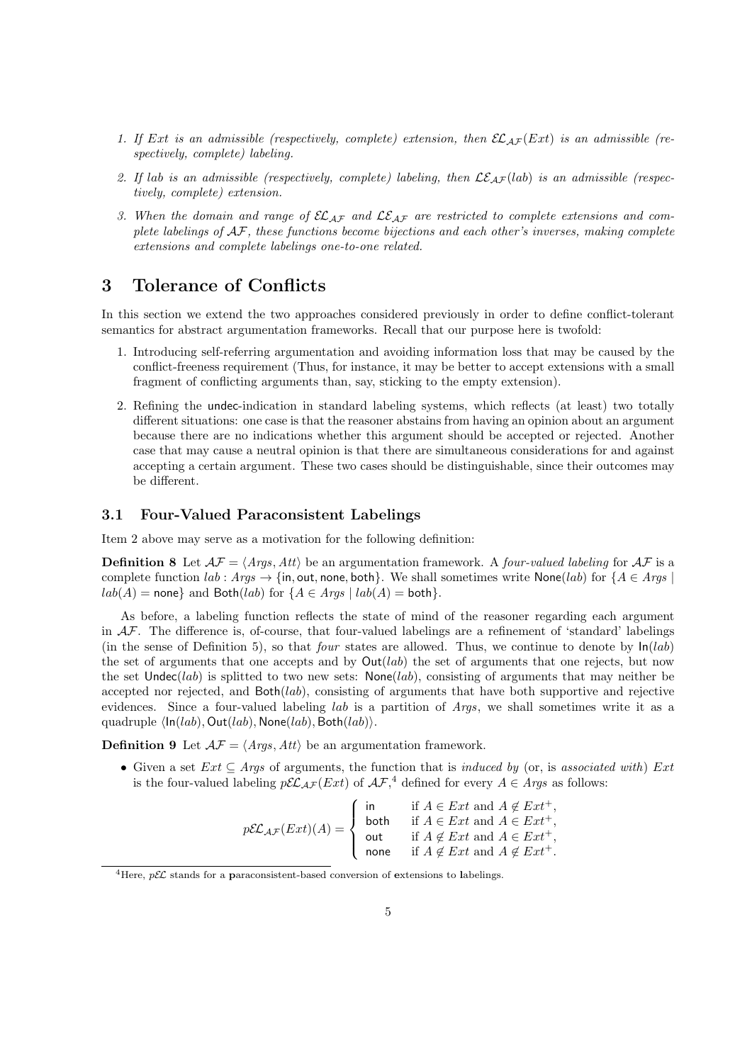- 1. If Ext is an admissible (respectively, complete) extension, then  $\mathcal{EL}_{AF}(Ext)$  is an admissible (re*spectively, complete) labeling.*
- 2. If lab is an admissible (respectively, complete) labeling, then  $\mathcal{LE}_{\mathcal{AF}}(lab)$  is an admissible (respec*tively, complete) extension.*
- *3. When the domain and range of ELAF and LEAF are restricted to complete extensions and complete labelings of AF, these functions become bijections and each other's inverses, making complete extensions and complete labelings one-to-one related.*

# **3 Tolerance of Conflicts**

In this section we extend the two approaches considered previously in order to define conflict-tolerant semantics for abstract argumentation frameworks. Recall that our purpose here is twofold:

- 1. Introducing self-referring argumentation and avoiding information loss that may be caused by the conflict-freeness requirement (Thus, for instance, it may be better to accept extensions with a small fragment of conflicting arguments than, say, sticking to the empty extension).
- 2. Refining the undec-indication in standard labeling systems, which reflects (at least) two totally different situations: one case is that the reasoner abstains from having an opinion about an argument because there are no indications whether this argument should be accepted or rejected. Another case that may cause a neutral opinion is that there are simultaneous considerations for and against accepting a certain argument. These two cases should be distinguishable, since their outcomes may be different.

### **3.1 Four-Valued Paraconsistent Labelings**

Item 2 above may serve as a motivation for the following definition:

**Definition 8** Let  $A\mathcal{F} = \langle \text{Args}, \text{Att} \rangle$  be an argumentation framework. A *four-valued labeling* for  $A\mathcal{F}$  is a complete function  $lab: Aras \rightarrow \{in, \text{out}, \text{none}, \text{both}\}.$  We shall sometimes write None $(lab)$  for  ${A \in Aras}$  $lab(A) =$  none*}* and  $Both(lab)$  for  ${A \in Arg \mid lab(A) = both}$ .

As before, a labeling function reflects the state of mind of the reasoner regarding each argument in *AF*. The difference is, of-course, that four-valued labelings are a refinement of 'standard' labelings (in the sense of Definition 5), so that *four* states are allowed. Thus, we continue to denote by  $ln(lab)$ the set of arguments that one accepts and by Out(*lab*) the set of arguments that one rejects, but now the set Undec(*lab*) is splitted to two new sets: None(*lab*), consisting of arguments that may neither be accepted nor rejected, and Both(*lab*), consisting of arguments that have both supportive and rejective evidences. Since a four-valued labeling *lab* is a partition of *Args*, we shall sometimes write it as a quadruple *⟨*In(*lab*)*,* Out(*lab*)*,* None(*lab*)*,* Both(*lab*)*⟩*.

**Definition 9** Let  $A\mathcal{F} = \langle \text{Arg} s, \text{Att} \rangle$  be an argumentation framework.

*•* Given a set *Ext ⊆ Args* of arguments, the function that is *induced by* (or, is *associated with*) *Ext* is the four-valued labeling  $p\mathcal{EL}_{AF}(Ext)$  of  $\mathcal{AF},^4$  defined for every  $A \in \mathcal{A}$ *rgs* as follows:

$$
p\mathcal{EL}_{\mathcal{AF}}(Ext)(A) = \begin{cases} \text{in} & \text{if } A \in Ext \text{ and } A \notin Ext^+, \\ \text{both} & \text{if } A \in Ext \text{ and } A \in Ext^+, \\ \text{out} & \text{if } A \notin Ext \text{ and } A \in Ext^+, \\ \text{none} & \text{if } A \notin Ext \text{ and } A \notin Ext^+. \end{cases}
$$

<sup>4</sup>Here, *<sup>p</sup>EL* stands for a **<sup>p</sup>**araconsistent-based conversion of **<sup>e</sup>**xtensions to **<sup>l</sup>**abelings.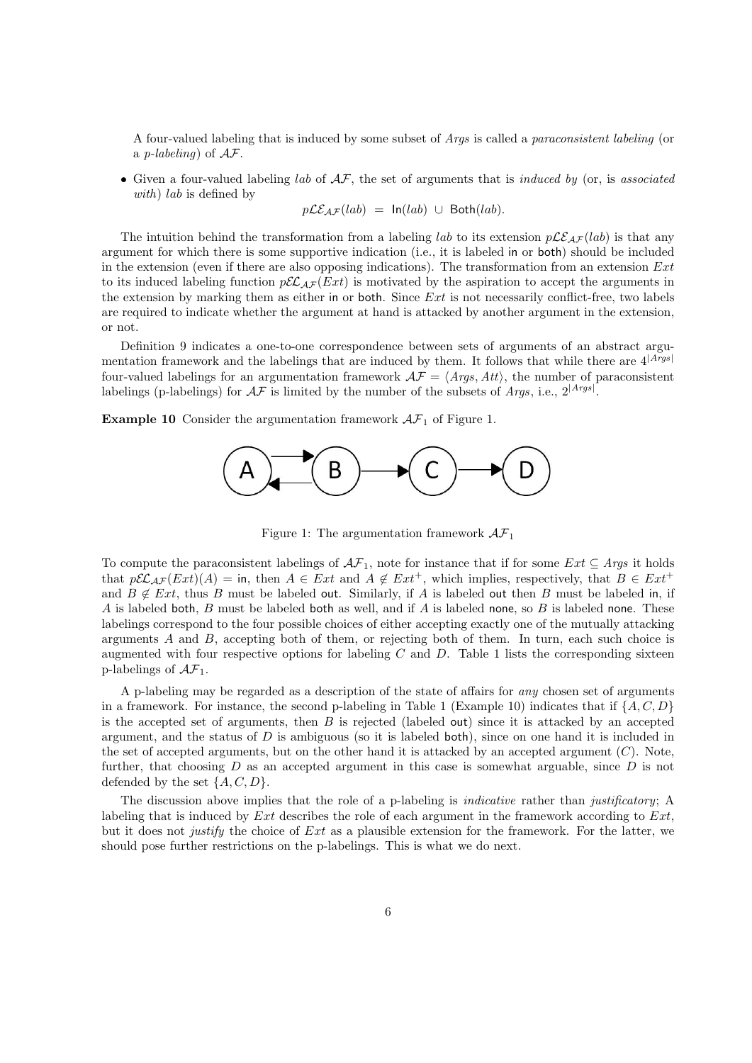A four-valued labeling that is induced by some subset of *Args* is called a *paraconsistent labeling* (or a *p-labeling*) of *AF*.

*•* Given a four-valued labeling *lab* of *AF*, the set of arguments that is *induced by* (or, is *associated with*) *lab* is defined by

$$
p\mathcal{LE}_{\mathcal{AF}}(lab) = \ln(lab) \cup \text{Both}(lab).
$$

The intuition behind the transformation from a labeling *lab* to its extension  $p\mathcal{LE}_{\mathcal{AF}}(lab)$  is that any argument for which there is some supportive indication (i.e., it is labeled in or both) should be included in the extension (even if there are also opposing indications). The transformation from an extension *Ext* to its induced labeling function  $p\mathcal{EL}_{AF}(Ext)$  is motivated by the aspiration to accept the arguments in the extension by marking them as either in or both. Since *Ext* is not necessarily conflict-free, two labels are required to indicate whether the argument at hand is attacked by another argument in the extension, or not.

Definition 9 indicates a one-to-one correspondence between sets of arguments of an abstract argumentation framework and the labelings that are induced by them. It follows that while there are 4*|Args<sup>|</sup>* four-valued labelings for an argumentation framework  $\mathcal{AF} = \langle \mathcal{A}\mathcal{r}gs, \mathcal{A}tt \rangle$ , the number of paraconsistent labelings (p-labelings) for *AF* is limited by the number of the subsets of *Args*, i.e., 2*|Args<sup>|</sup>* .

**Example 10** Consider the argumentation framework  $AF<sub>1</sub>$  of Figure 1.



Figure 1: The argumentation framework *AF*<sup>1</sup>

To compute the paraconsistent labelings of  $\mathcal{AF}_1$ , note for instance that if for some  $Ext \subseteq \text{Args}$  it holds that  $p\mathcal{EL}_{AF}(Ext)(A) = \text{in, then } A \in Ext$  and  $A \notin Ext^+$ , which implies, respectively, that  $B \in Ext^+$ and  $B \notin Ext$ , thus *B* must be labeled out. Similarly, if *A* is labeled out then *B* must be labeled in, if *A* is labeled both, *B* must be labeled both as well, and if *A* is labeled none, so *B* is labeled none. These labelings correspond to the four possible choices of either accepting exactly one of the mutually attacking arguments *A* and *B*, accepting both of them, or rejecting both of them. In turn, each such choice is augmented with four respective options for labeling  $C$  and  $D$ . Table 1 lists the corresponding sixteen p-labelings of  $\mathcal{AF}_1$ .

A p-labeling may be regarded as a description of the state of affairs for *any* chosen set of arguments in a framework. For instance, the second p-labeling in Table 1 (Example 10) indicates that if  $\{A, C, D\}$ is the accepted set of arguments, then *B* is rejected (labeled out) since it is attacked by an accepted argument, and the status of *D* is ambiguous (so it is labeled both), since on one hand it is included in the set of accepted arguments, but on the other hand it is attacked by an accepted argument (*C*). Note, further, that choosing *D* as an accepted argument in this case is somewhat arguable, since *D* is not defended by the set *{A, C, D}*.

The discussion above implies that the role of a p-labeling is *indicative* rather than *justificatory*; A labeling that is induced by *Ext* describes the role of each argument in the framework according to *Ext*, but it does not *justify* the choice of *Ext* as a plausible extension for the framework. For the latter, we should pose further restrictions on the p-labelings. This is what we do next.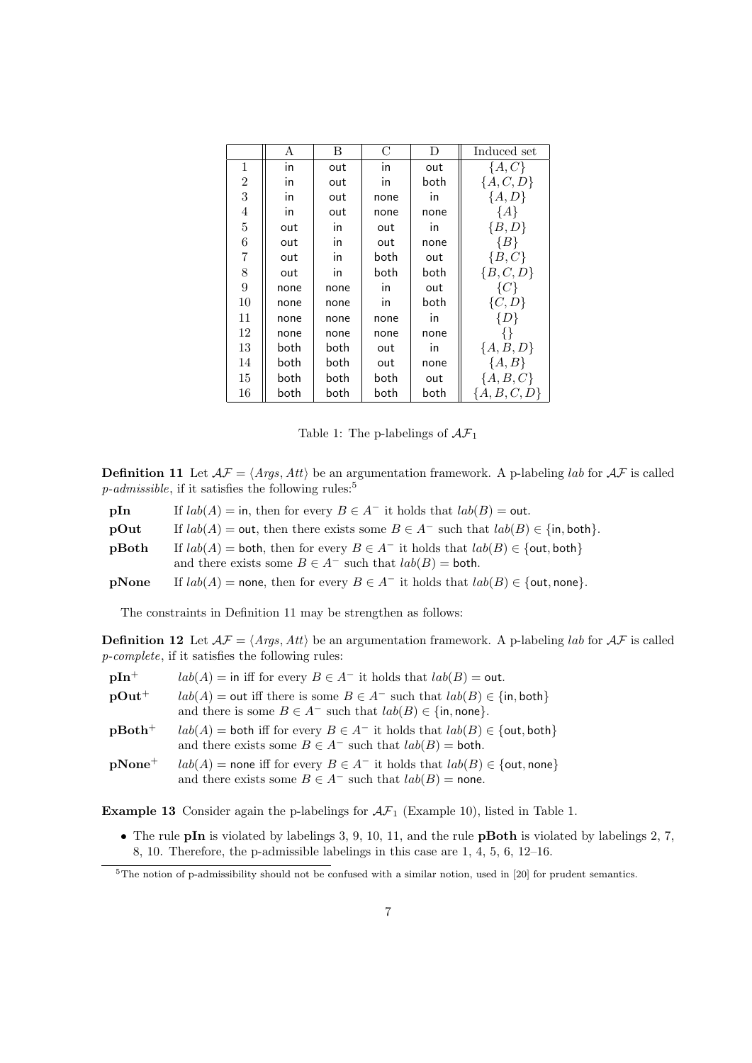|                | А                        | B    | C    | D    | Induced set    |
|----------------|--------------------------|------|------|------|----------------|
| 1              | $\overline{\mathsf{in}}$ | out  | in   | out  | $\{A, C\}$     |
| $\overline{2}$ | in                       | out  | in   | both | ${A, C, D}$    |
| 3              | in                       | out  | none | in   | ${A, D}$       |
| $\overline{4}$ | in                       | out  | none | none | ${A}$          |
| $\overline{5}$ | out                      | in   | out  | in   | ${B,D}$        |
| 6              | out                      | in   | out  | none | $\{B\}$        |
| 7              | out                      | in   | both | out  | $\{B,C\}$      |
| 8              | out                      | in   | both | both | ${B, C, D}$    |
| 9              | none                     | none | in   | out  | $\{C\}$        |
| 10             | none                     | none | in   | both | $\{C, D\}$     |
| 11             | none                     | none | none | in   | $\{D\}$        |
| 12             | none                     | none | none | none | ∤∤             |
| 13             | both                     | both | out  | in   | ${A, B, D}$    |
| 14             | both                     | both | out  | none | ${A, B}$       |
| 15             | both                     | both | both | out  | ${A, B, C}$    |
| 16             | both                     | both | both | both | ${A, B, C, D}$ |

Table 1: The p-labelings of  $\mathcal{AF}_1$ 

**Definition 11** Let  $A\mathcal{F} = \langle \text{Args}, \text{Att} \rangle$  be an argumentation framework. A p-labeling *lab* for  $A\mathcal{F}$  is called  $p$ -*admissible*, if it satisfies the following rules:<sup>5</sup>

| pIn             | If $lab(A) = \text{in}$ , then for every $B \in A^-$ it holds that $lab(B) = \text{out}$ .                                                               |
|-----------------|----------------------------------------------------------------------------------------------------------------------------------------------------------|
| $\mathbf{pOut}$ | If $lab(A) = \text{out}$ , then there exists some $B \in A^-$ such that $lab(B) \in \{\text{in}, \text{both}\}.$                                         |
| pBoth           | If $lab(A) =$ both, then for every $B \in A^-$ it holds that $lab(B) \in \{$ out, both }<br>and there exists some $B \in A^-$ such that $lab(B) =$ both. |
| pNone           | If $lab(A)$ = none, then for every $B \in A^-$ it holds that $lab(B) \in \{$ out, none $\}$ .                                                            |

The constraints in Definition 11 may be strengthen as follows:

**Definition 12** Let  $A\mathcal{F} = \langle \text{Args}, \text{Att} \rangle$  be an argumentation framework. A p-labeling *lab* for  $A\mathcal{F}$  is called *p-complete*, if it satisfies the following rules:

| $pIn^{+}$ | $lab(A) =$ in iff for every $B \in A^-$ it holds that $lab(B) =$ out.                                                                                  |
|-----------|--------------------------------------------------------------------------------------------------------------------------------------------------------|
| $pOut^+$  | $lab(A) =$ out iff there is some $B \in A^-$ such that $lab(B) \in \{\text{in}, \text{both}\}\$                                                        |
|           | and there is some $B \in A^-$ such that $lab(B) \in \{\text{in}, \text{none}\}.$                                                                       |
| $pBoth+$  | $lab(A)$ = both iff for every $B \in A^-$ it holds that $lab(B) \in \{$ out, both $\}$<br>and there exists some $B \in A^-$ such that $lab(B) =$ both. |
| $pNone^+$ | $lab(A)$ = none iff for every $B \in A^-$ it holds that $lab(B) \in \{$ out, none $\}$<br>and there exists some $B \in A^-$ such that $lab(B)$ = none. |

**Example 13** Consider again the p-labelings for  $A\mathcal{F}_1$  (Example 10), listed in Table 1.

*•* The rule **pIn** is violated by labelings 3, 9, 10, 11, and the rule **pBoth** is violated by labelings 2, 7, 8, 10. Therefore, the p-admissible labelings in this case are 1, 4, 5, 6, 12–16.

<sup>&</sup>lt;sup>5</sup>The notion of p-admissibility should not be confused with a similar notion, used in [20] for prudent semantics.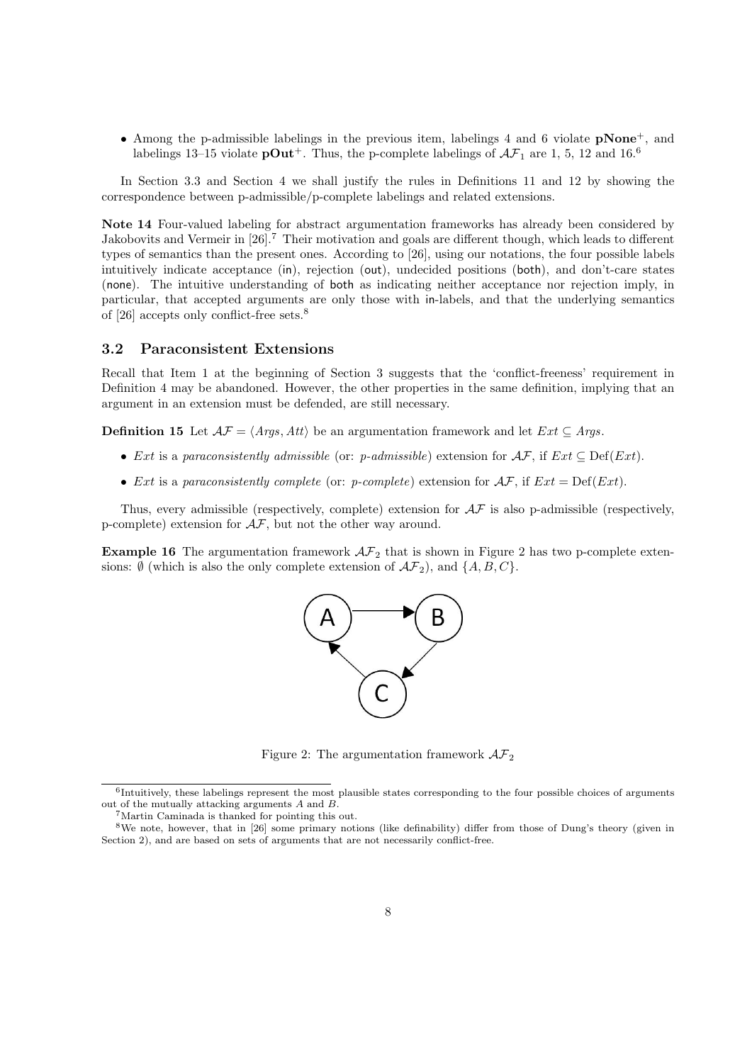*•* Among the p-admissible labelings in the previous item, labelings 4 and 6 violate **pNone**<sup>+</sup>, and labelings 13–15 violate  $\mathbf{pOut}^+$ . Thus, the p-complete labelings of  $\mathcal{AF}_1$  are 1, 5, 12 and 16.<sup>6</sup>

In Section 3.3 and Section 4 we shall justify the rules in Definitions 11 and 12 by showing the correspondence between p-admissible/p-complete labelings and related extensions.

**Note 14** Four-valued labeling for abstract argumentation frameworks has already been considered by Jakobovits and Vermeir in [26].<sup>7</sup> Their motivation and goals are different though, which leads to different types of semantics than the present ones. According to [26], using our notations, the four possible labels intuitively indicate acceptance (in), rejection (out), undecided positions (both), and don't-care states (none). The intuitive understanding of both as indicating neither acceptance nor rejection imply, in particular, that accepted arguments are only those with in-labels, and that the underlying semantics of [26] accepts only conflict-free sets.<sup>8</sup>

### **3.2 Paraconsistent Extensions**

Recall that Item 1 at the beginning of Section 3 suggests that the 'conflict-freeness' requirement in Definition 4 may be abandoned. However, the other properties in the same definition, implying that an argument in an extension must be defended, are still necessary.

**Definition 15** Let  $A\mathcal{F} = \langle \text{Args}, \text{Att} \rangle$  be an argumentation framework and let  $Ext \subseteq \text{Args}$ .

- *• Ext* is a *paraconsistently admissible* (or: *p-admissible*) extension for *AF*, if *Ext ⊆* Def(*Ext*).
- *Ext* is a *paraconsistently complete* (or: *p-complete*) extension for  $\mathcal{AF}$ , if  $Ext = Def(Ext)$ .

Thus, every admissible (respectively, complete) extension for *AF* is also p-admissible (respectively, p-complete) extension for *AF*, but not the other way around.

**Example 16** The argumentation framework  $A\mathcal{F}_2$  that is shown in Figure 2 has two p-complete extensions:  $\emptyset$  (which is also the only complete extension of  $\mathcal{AF}_2$ ), and  $\{A, B, C\}$ .



Figure 2: The argumentation framework  $\mathcal{AF}_2$ 

<sup>&</sup>lt;sup>6</sup>Intuitively, these labelings represent the most plausible states corresponding to the four possible choices of arguments out of the mutually attacking arguments *A* and *B*.

<sup>7</sup>Martin Caminada is thanked for pointing this out.

<sup>8</sup>We note, however, that in [26] some primary notions (like definability) differ from those of Dung's theory (given in Section 2), and are based on sets of arguments that are not necessarily conflict-free.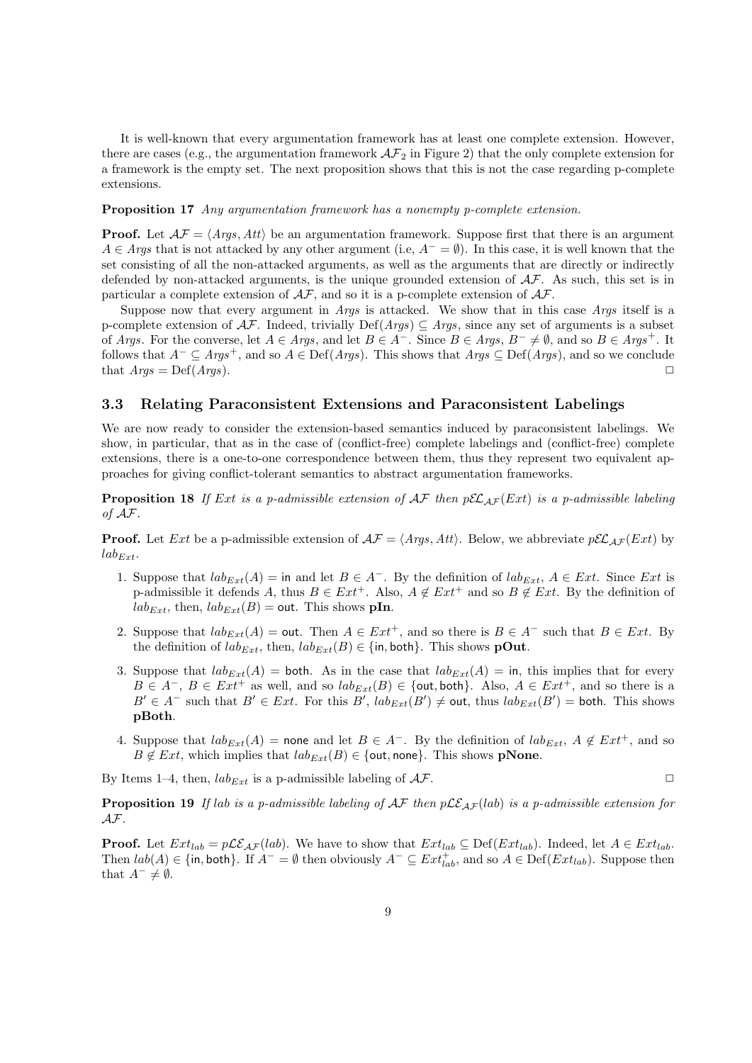It is well-known that every argumentation framework has at least one complete extension. However, there are cases (e.g., the argumentation framework  $\mathcal{AF}_2$  in Figure 2) that the only complete extension for a framework is the empty set. The next proposition shows that this is not the case regarding p-complete extensions.

#### **Proposition 17** *Any argumentation framework has a nonempty p-complete extension.*

**Proof.** Let  $A\mathcal{F} = \langle \text{Args}, \text{Att} \rangle$  be an argumentation framework. Suppose first that there is an argument *A* ∈ *Args* that is not attacked by any other argument (i.e,  $A^- = \emptyset$ ). In this case, it is well known that the set consisting of all the non-attacked arguments, as well as the arguments that are directly or indirectly defended by non-attacked arguments, is the unique grounded extension of *AF*. As such, this set is in particular a complete extension of *AF*, and so it is a p-complete extension of *AF*.

Suppose now that every argument in *Args* is attacked. We show that in this case *Args* itself is a p-complete extension of *AF*. Indeed, trivially Def(*Args*) *⊆ Args*, since any set of arguments is a subset of Args. For the converse, let  $A \in Args$ , and let  $B \in A^-$ . Since  $B \in Args$ ,  $B^- \neq \emptyset$ , and so  $B \in Args^+$ . It follows that  $A^-$  ⊆  $Args^+$ , and so  $A \in \text{Def}(Args)$ . This shows that  $Args$  ⊆  $\text{Def}(Args)$ , and so we conclude that  $A\eta g s = \text{Def}(A\eta g s).$ 

### **3.3 Relating Paraconsistent Extensions and Paraconsistent Labelings**

We are now ready to consider the extension-based semantics induced by paraconsistent labelings. We show, in particular, that as in the case of (conflict-free) complete labelings and (conflict-free) complete extensions, there is a one-to-one correspondence between them, thus they represent two equivalent approaches for giving conflict-tolerant semantics to abstract argumentation frameworks.

**Proposition 18** If *Ext* is a p-admissible extension of  $\mathcal{AF}$  then  $p\mathcal{EL}_{AF}(Ext)$  is a p-admissible labeling *of AF.*

**Proof.** Let *Ext* be a p-admissible extension of  $A\mathcal{F} = \langle \text{Args}, \text{Att} \rangle$ . Below, we abbreviate  $p\mathcal{EL}_{\mathcal{AF}}(Ext)$  by  $lab_{Ext}$ .

- 1. Suppose that  $lab_{Ext}(A) = \text{in and let } B \in A^{-}$ . By the definition of  $lab_{Ext}, A \in Ext$ . Since *Ext* is p-admissible it defends *A*, thus  $B \in Ext^+$ . Also,  $A \notin Ext^+$  and so  $B \notin Ext$ . By the definition of  $lab_{Ext}$ , then,  $lab_{Ext}(B) = \text{out}$ . This shows **pIn**.
- 2. Suppose that  $lab_{Ext}(A) = \text{out.}$  Then  $A \in Ext^{+}$ , and so there is  $B \in A^{-}$  such that  $B \in Ext$ . By the definition of  $lab_{Ext}$ , then,  $lab_{Ext}(B) \in \{\text{in}, \text{both}\}\.$  This shows **pOut**.
- 3. Suppose that  $lab_{Ext}(A) =$  both. As in the case that  $lab_{Ext}(A) =$  in, this implies that for every  $B \in A^-$ ,  $B \in Ext^+$  as well, and so  $lab_{Ext}(B) \in \{out, both\}$ . Also,  $A \in Ext^+$ , and so there is a  $B' \in A^-$  such that  $B' \in Ext$ . For this  $B'$ ,  $lab_{Ext}(B') \neq out$ , thus  $lab_{Ext}(B') = both$ . This shows **pBoth**.
- 4. Suppose that  $lab_{Ext}(A)$  = none and let  $B \in A^-$ . By the definition of  $lab_{Ext}$ ,  $A \notin Ext^+$ , and so  $B \notin Ext$ , which implies that  $lab_{Ext}(B) \in \{out, none\}$ . This shows **pNone**.

By Items 1–4, then,  $lab_{Ext}$  is a p-admissible labeling of  $AF$ .

**Proposition 19** *If lab is a p-admissible labeling of*  $AF$  *then*  $p\mathcal{LE}_{AF}(lab)$  *is a p-admissible extension for AF.*

**Proof.** Let  $Ext_{lab} = p\mathcal{LE}_{AF}(lab)$ . We have to show that  $Ext_{lab} \subseteq Def(Ext_{lab})$ . Indeed, let  $A \in Ext_{lab}$ . Then  $lab(A) \in \{\text{in}, \text{both}\}.$  If  $A^- = \emptyset$  then obviously  $A^- \subseteq Ext^+_{lab}$ , and so  $A \in \text{Def}(Ext_{lab})$ . Suppose then that  $A^- \neq \emptyset$ .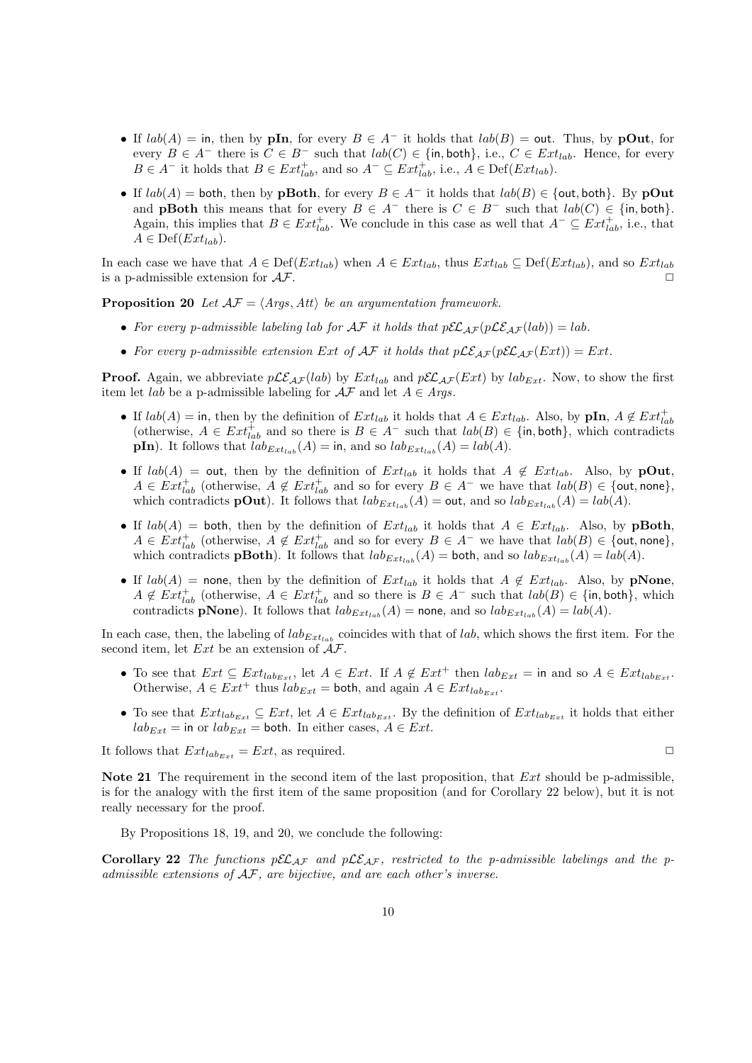- If  $lab(A) =$  in, then by **pIn**, for every  $B \in A^-$  it holds that  $lab(B) =$  out. Thus, by **pOut**, for every  $B \in A^-$  there is  $C \in B^-$  such that  $lab(C) \in \{\text{in}, \text{both}\}, i.e., C \in Ext_{lab}$ . Hence, for every  $B \in A^-$  it holds that  $B \in Ext^+_{lab}$ , and so  $A^- \subseteq Ext^+_{lab}$ , i.e.,  $A \in Def(Ext_{lab})$ .
- *•* If *lab*(*A*) = both, then by **pBoth**, for every *B ∈ A<sup>−</sup>* it holds that *lab*(*B*) *∈ {*out*,* both*}*. By **pOut** and **pBoth** this means that for every  $B \in A^-$  there is  $C \in B^-$  such that  $lab(C) \in \{\text{in}, \text{both}\}.$ Again, this implies that  $B \in Ext^+_{lab}$ . We conclude in this case as well that  $A^- \subseteq Ext^+_{lab}$ , i.e., that  $A \in \text{Def}(Ext_{lab}).$

In each case we have that  $A \in \text{Def}(Ext_{lab})$  when  $A \in Ext_{lab}$ , thus  $Ext_{lab} \subseteq \text{Def}(Ext_{lab})$ , and so  $Ext_{lab}$ is a p-admissible extension for  $A\mathcal{F}$ .

**Proposition 20** *Let*  $\mathcal{AF} = \langle \text{Args}, \text{Att} \rangle$  *be an argumentation framework.* 

- For every p-admissible labeling lab for  $\mathcal{AF}$  it holds that  $p\mathcal{EL}_{AF}(p\mathcal{LE}_{AF}(lab)) = lab$ .
- For every p-admissible extension Ext of  $\mathcal{AF}$  it holds that  $p\mathcal{LE}_{AF}(p\mathcal{EL}_{AF}(Ext)) = Ext$ .

**Proof.** Again, we abbreviate  $p\mathcal{LE}_{AF}(lab)$  by  $Ext_{lab}$  and  $p\mathcal{EL}_{AF}(Ext)$  by  $lab_{Ext}$ . Now, to show the first item let *lab* be a p-admissible labeling for  $\mathcal{AF}$  and let  $A \in \mathcal{A}$ rgs.

- If  $lab(A) =$  in, then by the definition of  $Ext_{lab}$  it holds that  $A \in Ext_{lab}$ . Also, by  $pIn, A \notin Ext_{lab}^+$ (otherwise,  $A \in Ext_{lab}^+$  and so there is  $B \in A^-$  such that  $lab(B) \in \{\text{in}, \text{both}\},\$  which contradicts **pIn**). It follows that  $lab_{Ext_{lab}}(A) = \text{in, and so } lab_{Ext_{lab}}(A) = lab(A).$
- If  $lab(A) = \text{out}$ , then by the definition of  $Ext_{lab}$  it holds that  $A \notin Ext_{lab}$ . Also, by **pOut**,  $A \in Ext_{lab}^+$  (otherwise,  $A \notin Ext_{lab}^+$  and so for every  $B \in A^-$  we have that  $lab(B) \in \{out, none\}$ , which contradicts **pOut**). It follows that  $lab_{Ext_{lab}}(A) = \text{out}$ , and so  $lab_{Ext_{lab}}(A) = lab(A)$ .
- If  $lab(A) =$  both, then by the definition of  $Ext_{lab}$  it holds that  $A \in Ext_{lab}$ . Also, by **pBoth**,  $A \in Ext_{lab}^+$  (otherwise,  $A \notin Ext_{lab}^+$  and so for every  $B \in A^-$  we have that  $lab(B) \in \{\text{out}, \text{none}\},$ which contradicts **pBoth**). It follows that  $lab_{Ext_{lab}}(A) = \text{both}$ , and so  $lab_{Ext_{lab}}(A) = lab(A)$ .
- If  $lab(A)$  = none, then by the definition of  $Ext_{lab}$  it holds that  $A \notin Ext_{lab}$ . Also, by **pNone**,  $A \notin \text{Ext}^+_{lab}$  (otherwise,  $A \in \text{Ext}^+_{lab}$  and so there is  $B \in A^-$  such that  $lab(B) \in \{\text{in}, \text{both}\},\$ contradicts **pNone**). It follows that  $lab_{Ext_{lab}}(A) =$  none, and so  $lab_{Ext_{lab}}(A) = lab(A)$ .

In each case, then, the labeling of  $lab_{Ext_{lab}}$  coincides with that of *lab*, which shows the first item. For the second item, let *Ext* be an extension of *AF*.

- To see that  $Ext \subseteq Ext_{lab_{Ext}},$  let  $A \in Ext$ . If  $A \notin Ext^+$  then  $lab_{Ext} =$  in and so  $A \in Ext_{lab_{Ext}}$ . Otherwise,  $A \in Ext^+$  thus  $\overline{lab}_{Ext} = \text{both}$ , and again  $A \in Ext_{lab_{Ext}}$ .
- To see that  $Ext_{lab_{Ext}} \subseteq Ext$ , let  $A \in Ext_{lab_{Ext}}$ . By the definition of  $Ext_{lab_{Ext}}$  it holds that either  $lab_{Ext}$  = in or  $lab_{Ext}$  = both. In either cases,  $A \in Ext$ .

It follows that  $Ext_{lab_{Ext}} = Ext$ , as required.

**Note 21** The requirement in the second item of the last proposition, that *Ext* should be p-admissible, is for the analogy with the first item of the same proposition (and for Corollary 22 below), but it is not really necessary for the proof.

By Propositions 18, 19, and 20, we conclude the following:

**Corollary 22** The functions  $p\mathcal{EL}_{AF}$  and  $p\mathcal{LE}_{AF}$ , restricted to the p-admissible labelings and the p*admissible extensions of AF, are bijective, and are each other's inverse.*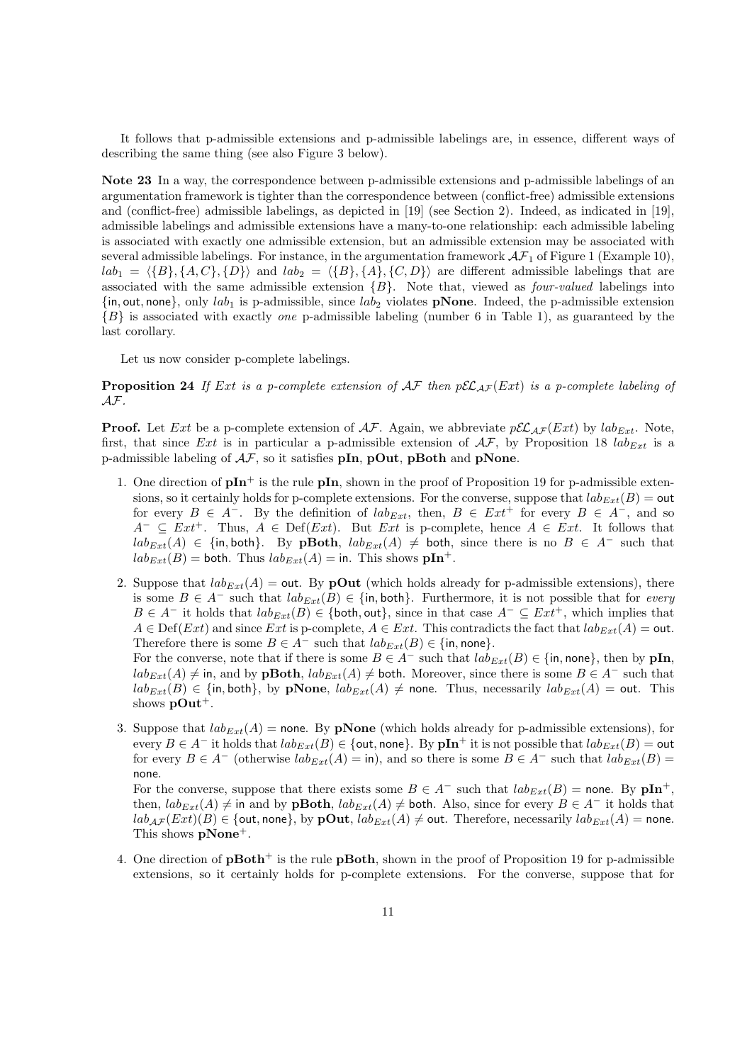It follows that p-admissible extensions and p-admissible labelings are, in essence, different ways of describing the same thing (see also Figure 3 below).

**Note 23** In a way, the correspondence between p-admissible extensions and p-admissible labelings of an argumentation framework is tighter than the correspondence between (conflict-free) admissible extensions and (conflict-free) admissible labelings, as depicted in [19] (see Section 2). Indeed, as indicated in [19], admissible labelings and admissible extensions have a many-to-one relationship: each admissible labeling is associated with exactly one admissible extension, but an admissible extension may be associated with several admissible labelings. For instance, in the argumentation framework  $\mathcal{AF}_1$  of Figure 1 (Example 10),  $lab_1 = \langle \{B\}, \{A, C\}, \{D\} \rangle$  and  $lab_2 = \langle \{B\}, \{A\}, \{C, D\} \rangle$  are different admissible labelings that are associated with the same admissible extension *{B}*. Note that, viewed as *four-valued* labelings into  $\{in, out, none\}$ , only  $lab_1$  is p-admissible, since  $lab_2$  violates **pNone**. Indeed, the p-admissible extension *{B}* is associated with exactly *one* p-admissible labeling (number 6 in Table 1), as guaranteed by the last corollary.

Let us now consider p-complete labelings.

**Proposition 24** If *Ext* is a p-complete extension of  $AF$  then  $p\mathcal{EL}_{AF}(Ext)$  is a p-complete labeling of *AF.*

**Proof.** Let *Ext* be a p-complete extension of  $AF$ . Again, we abbreviate  $p\mathcal{EL}_{AF}(Ext)$  by  $lab_{Ext}$ . Note, first, that since *Ext* is in particular a p-admissible extension of  $\mathcal{AF}$ , by Proposition 18  $lab_{Ext}$  is a p-admissible labeling of *AF*, so it satisfies **pIn**, **pOut**, **pBoth** and **pNone**.

- 1. One direction of  $\mathbf{pIn}^+$  is the rule  $\mathbf{pIn}$ , shown in the proof of Proposition 19 for p-admissible extensions, so it certainly holds for p-complete extensions. For the converse, suppose that  $lab_{Ext}(B) = \text{out}$ for every  $B \in A^-$ . By the definition of  $lab_{Ext}$ , then,  $B \in Ext^+$  for every  $B \in A^-$ , and so *A*<sup>−</sup>  $\subseteq$  *Ext*<sup>+</sup>. Thus, *A*  $\in$  Def(*Ext*). But *Ext* is p-complete, hence *A*  $\in$  *Ext*. It follows that  $lab_{Ext}(A) \in \{\text{in}, \text{both}\}.$  By **pBoth**,  $lab_{Ext}(A) \neq \text{both}$ , since there is no  $B \in A^{-}$  such that  $lab_{Ext}(B) =$  both. Thus  $lab_{Ext}(A) =$  in. This shows  $\mathbf{pIn}^+$ .
- 2. Suppose that  $lab_{Ext}(A) = \text{out}$ . By **pOut** (which holds already for p-admissible extensions), there is some *B ∈ A<sup>−</sup>* such that *labExt*(*B*) *∈ {*in*,* both*}*. Furthermore, it is not possible that for *every B*  $∈$  *A*<sup>*−*</sup> it holds that  $lab_{Ext}(B) ∈$  {both, out}, since in that case  $A<sup>−</sup> ⊆ Ext<sup>+</sup>$ , which implies that  $A \in \text{Def}(Ext)$  and since *Ext* is p-complete,  $A \in Ext$ . This contradicts the fact that  $lab_{Ext}(A) = \text{out}$ . Therefore there is some  $B \in A^-$  such that  $lab_{Ext}(B) \in \{\text{in, none}\}.$

For the converse, note that if there is some  $B \in A^-$  such that  $lab_{Ext}(B) \in \{\text{in, none}\},\$  then by  $\textbf{pIn},$  $lab_{Ext}(A) ≠$  in, and by **pBoth**,  $lab_{Ext}(A) ≠$  both. Moreover, since there is some  $B ∈ A<sup>−</sup>$  such that  $lab_{Ext}(B)$  ∈ {in, both}, by **pNone**,  $lab_{Ext}(A) ≠$  none. Thus, necessarily  $lab_{Ext}(A) =$  out. This shows  $\mathbf{pOut}^+$ .

3. Suppose that  $lab_{Ext}(A)$  = none. By **pNone** (which holds already for p-admissible extensions), for every  $B \in A^-$  it holds that  $lab_{Ext}(B) \in \{$ out, none $\}$ . By  $\mathbf{pIn}^+$  it is not possible that  $lab_{Ext}(B) = \mathsf{out}$ for every  $B \in A^-$  (otherwise  $lab_{Ext}(A) = \text{in}$ ), and so there is some  $B \in A^-$  such that  $lab_{Ext}(B) =$ none.

For the converse, suppose that there exists some  $B \in A^-$  such that  $lab_{Ext}(B) =$  none. By  $\mathbf{pIn}^+$ , then,  $lab_{Ext}(A) \neq$  in and by **pBoth**,  $lab_{Ext}(A) \neq$  both. Also, since for every  $B \in A^-$  it holds that  $lab_{\mathcal{AF}}(Ext)(B) \in \{out, none\}$ , by  $\mathbf{pOut}$ ,  $lab_{Ext}(A) \neq \mathbf{out}$ . Therefore, necessarily  $lab_{Ext}(A) = \mathbf{none}$ . This shows **pNone**<sup>+</sup>.

4. One direction of **pBoth**<sup>+</sup> is the rule **pBoth**, shown in the proof of Proposition 19 for p-admissible extensions, so it certainly holds for p-complete extensions. For the converse, suppose that for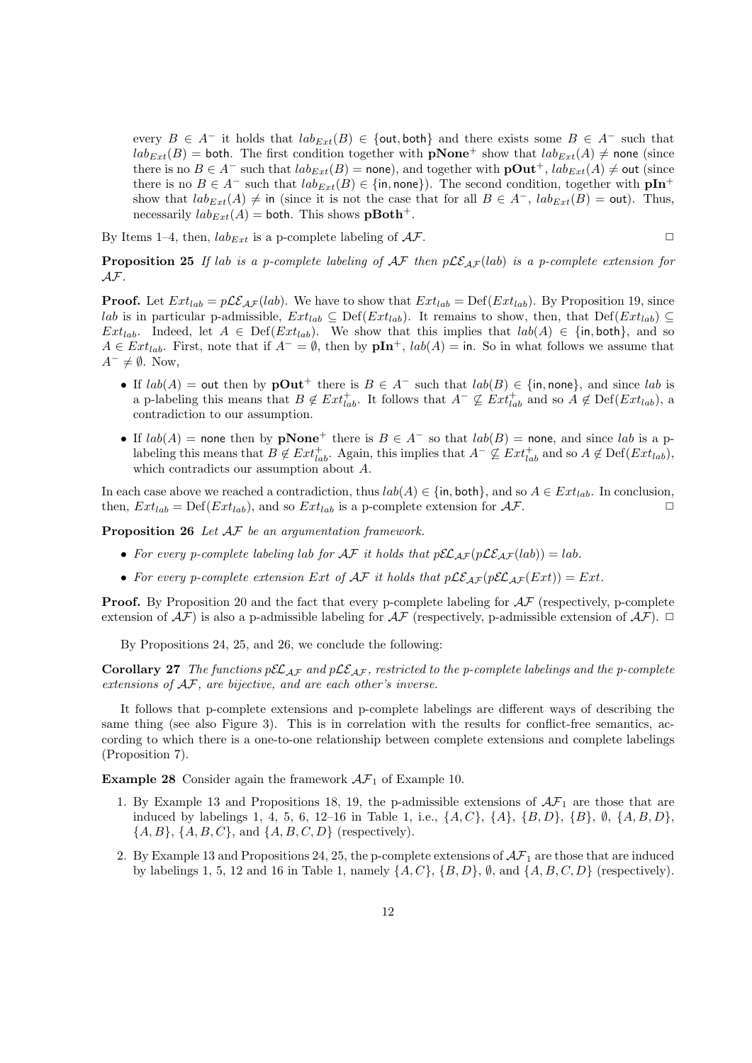every  $B \in A^-$  it holds that  $lab_{Ext}(B) \in \{out, both\}$  and there exists some  $B \in A^-$  such that  $lab_{Ext}(B) =$  both. The first condition together with **pNone**<sup>+</sup> show that  $lab_{Ext}(A) \neq$  none (since there is no  $B \in A^-$  such that  $lab_{Ext}(B) =$  none), and together with  $\mathbf{pOut}^+$ ,  $lab_{Ext}(A) \neq \mathbf{out}$  (since there is no  $B \in A^-$  such that  $lab_{Ext}(B) \in \{\text{in, none}\}\)$ . The second condition, together with  $\mathbf{pIn^+}$ show that  $lab_{Ext}(A) \neq$  in (since it is not the case that for all  $B \in A^{-}$ ,  $lab_{Ext}(B) = \text{out}$ ). Thus, necessarily  $lab_{Ext}(A) =$  both. This shows  $\mathbf{pBoth}^+.$ 

By Items 1–4, then,  $lab_{Ext}$  is a p-complete labeling of  $AF$ .

$$
\Box
$$

**Proposition 25** If lab is a p-complete labeling of  $AF$  then  $p\mathcal{LE}_{AF}(lab)$  is a p-complete extension for *AF.*

**Proof.** Let  $Ext_{lab} = p\mathcal{LE}_{AF}(lab)$ . We have to show that  $Ext_{lab} = Def(Ext_{lab})$ . By Proposition 19, since *lab* is in particular p-admissible,  $Ext_{lab} ⊆ Def(Ext_{lab})$ . It remains to show, then, that Def( $Ext_{lab}$ ) ⊆ *Ext<sub>lab</sub>*. Indeed, let  $A \in \text{Def}(Ext_{lab})$ . We show that this implies that  $lab(A) \in \{\text{in}, \text{both}\},\$ and so *A* ∈ *Ext*<sub>*lab*</sub>. First, note that if  $A^- = \emptyset$ , then by  $\mathbf{pIn}^+$ ,  $lab(A) = \text{in}$ . So in what follows we assume that *A*<sup>−</sup>  $\neq$  *Ø*. Now,

- If  $lab(A) =$  out then by  $\mathbf{pOut}^+$  there is  $B \in A^-$  such that  $lab(B) \in \{\text{in}, \text{none}\},\$  and since  $lab$  is a p-labeling this means that  $B \notin Ext^+_{lab}$ . It follows that  $A^- \not\subseteq Ext^+_{lab}$  and so  $A \notin Def(Ext_{lab})$ , a contradiction to our assumption.
- If  $lab(A)$  = none then by **pNone**<sup>+</sup> there is  $B \in A^-$  so that  $lab(B)$  = none, and since *lab* is a plabeling this means that  $B \notin Ext^+_{lab}$ . Again, this implies that  $A^- \not\subseteq Ext^+_{lab}$  and so  $A \notin Def(Ext_{lab})$ , which contradicts our assumption about *A*.

In each case above we reached a contradiction, thus *lab*(*A*) *∈ {*in*,* both*}*, and so *A ∈ Extlab*. In conclusion, then,  $Ext_{lab} = Def(Ext_{lab})$ , and so  $Ext_{lab}$  is a p-complete extension for  $AF$ .

**Proposition 26** *Let AF be an argumentation framework.*

- For every p-complete labeling lab for  $\mathcal{AF}$  it holds that  $p\mathcal{EL}_{AF}(p\mathcal{LE}_{AF}(lab)) = lab$ .
- For every p-complete extension  $Ext$  of  $AF$  it holds that  $p\mathcal{LE}_{AF}(p\mathcal{EL}_{AF}(Ext)) = Ext$ .

**Proof.** By Proposition 20 and the fact that every p-complete labeling for  $\mathcal{AF}$  (respectively, p-complete extension of  $\mathcal{AF}$ ) is also a p-admissible labeling for  $\mathcal{AF}$  (respectively, p-admissible extension of  $\mathcal{AF}$ ).  $\Box$ 

By Propositions 24, 25, and 26, we conclude the following:

**Corollary 27** *The functions*  $p\mathcal{EL}_{AF}$  *and*  $p\mathcal{LE}_{AF}$ *, restricted to the p-complete labelings and the p-complete extensions of AF, are bijective, and are each other's inverse.*

It follows that p-complete extensions and p-complete labelings are different ways of describing the same thing (see also Figure 3). This is in correlation with the results for conflict-free semantics, according to which there is a one-to-one relationship between complete extensions and complete labelings (Proposition 7).

**Example 28** Consider again the framework  $A\mathcal{F}_1$  of Example 10.

- 1. By Example 13 and Propositions 18, 19, the p-admissible extensions of  $\mathcal{AF}_1$  are those that are induced by labelings 1, 4, 5, 6, 12–16 in Table 1, i.e., *{A, C}*, *{A}*, *{B, D}*, *{B}*, *∅*, *{A, B, D}*, *{A, B}*, *{A, B, C}*, and *{A, B, C, D}* (respectively).
- 2. By Example 13 and Propositions 24, 25, the p-complete extensions of *AF*<sup>1</sup> are those that are induced by labelings 1, 5, 12 and 16 in Table 1, namely  $\{A, C\}$ ,  $\{B, D\}$ ,  $\emptyset$ , and  $\{A, B, C, D\}$  (respectively).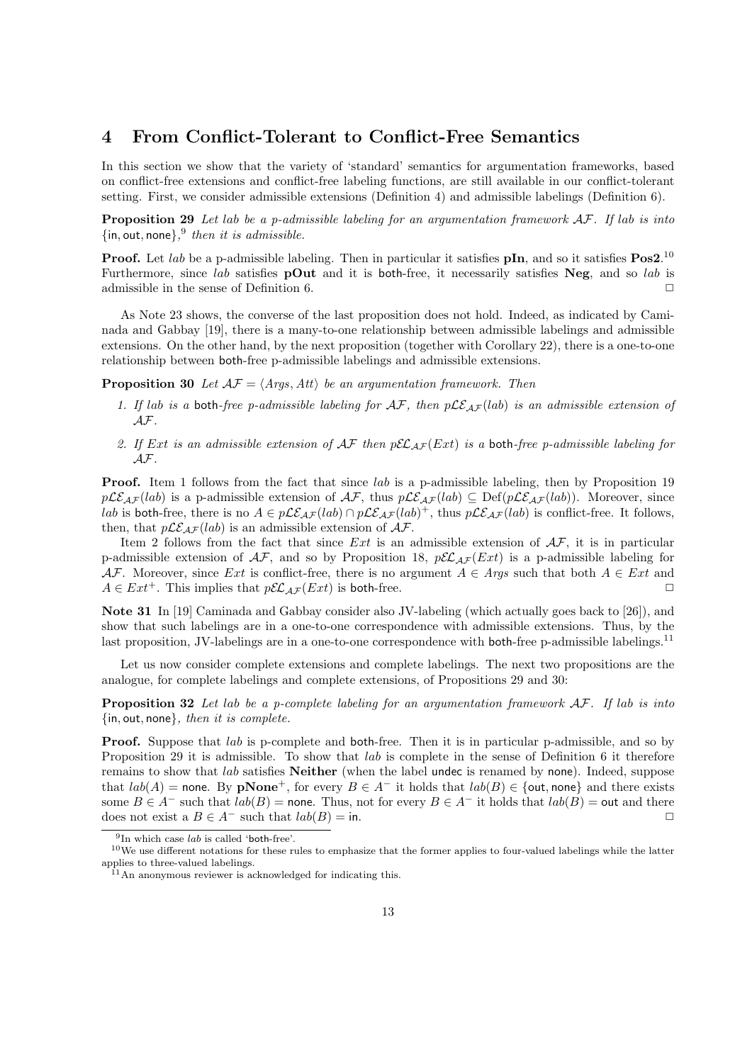### **4 From Conflict-Tolerant to Conflict-Free Semantics**

In this section we show that the variety of 'standard' semantics for argumentation frameworks, based on conflict-free extensions and conflict-free labeling functions, are still available in our conflict-tolerant setting. First, we consider admissible extensions (Definition 4) and admissible labelings (Definition 6).

**Proposition 29** *Let lab be a p-admissible labeling for an argumentation framework AF. If lab is into {*in*,* out*,* none*},* 9 *then it is admissible.*

**Proof.** Let *lab* be a p-admissible labeling. Then in particular it satisfies **pIn**, and so it satisfies **Pos2**. 10 Furthermore, since *lab* satisfies **pOut** and it is both-free, it necessarily satisfies **Neg**, and so *lab* is admissible in the sense of Definition 6.  $\Box$ 

As Note 23 shows, the converse of the last proposition does not hold. Indeed, as indicated by Caminada and Gabbay [19], there is a many-to-one relationship between admissible labelings and admissible extensions. On the other hand, by the next proposition (together with Corollary 22), there is a one-to-one relationship between both-free p-admissible labelings and admissible extensions.

**Proposition 30** *Let*  $A\mathcal{F} = \langle \text{Args}, \text{Att} \rangle$  *be an argumentation framework. Then* 

- *1. If lab is a* both*-free p-admissible labeling for AF, then pLEAF* (*lab*) *is an admissible extension of AF.*
- *2. If Ext is an admissible extension of AF then pELAF* (*Ext*) *is a* both*-free p-admissible labeling for AF.*

**Proof.** Item 1 follows from the fact that since *lab* is a p-admissible labeling, then by Proposition 19  $p\mathcal{LE}_{AF}(lab)$  is a p-admissible extension of  $\mathcal{AF}$ , thus  $p\mathcal{LE}_{AF}(lab) \subseteq \text{Def}(p\mathcal{LE}_{AF}(lab))$ . Moreover, since *lab* is both-free, there is no *A* ∈  $p\mathcal{LE}_{AF}(lab) ∩ p\mathcal{LE}_{AF}(lab)^{+}$ , thus  $p\mathcal{LE}_{AF}(lab)$  is conflict-free. It follows, then, that  $p\mathcal{LE}_{AF}(lab)$  is an admissible extension of  $\mathcal{AF}$ .

Item 2 follows from the fact that since *Ext* is an admissible extension of *AF*, it is in particular p-admissible extension of  $\mathcal{AF}$ , and so by Proposition 18,  $p\mathcal{EL}_{AF}(Ext)$  is a p-admissible labeling for *AF*. Moreover, since *Ext* is conflict-free, there is no argument  $A \in Args$  such that both  $A \in Ext$  and  $A \in Ext^+$ . This implies that  $p\mathcal{EL}_{AF}(Ext)$  is both-free.

**Note 31** In [19] Caminada and Gabbay consider also JV-labeling (which actually goes back to [26]), and show that such labelings are in a one-to-one correspondence with admissible extensions. Thus, by the last proposition, JV-labelings are in a one-to-one correspondence with both-free p-admissible labelings.<sup>11</sup>

Let us now consider complete extensions and complete labelings. The next two propositions are the analogue, for complete labelings and complete extensions, of Propositions 29 and 30:

**Proposition 32** *Let lab be a p-complete labeling for an argumentation framework AF. If lab is into {*in*,* out*,* none*}, then it is complete.*

**Proof.** Suppose that *lab* is p-complete and both-free. Then it is in particular p-admissible, and so by Proposition 29 it is admissible. To show that *lab* is complete in the sense of Definition 6 it therefore remains to show that *lab* satisfies **Neither** (when the label undec is renamed by none). Indeed, suppose that  $lab(A)$  = none. By **pNone**<sup>+</sup>, for every  $B \in A^-$  it holds that  $lab(B) \in \{out, none\}$  and there exists some  $B \in A^-$  such that  $lab(B)$  = none. Thus, not for every  $B \in A^-$  it holds that  $lab(B)$  = out and there  $\Box$  does not exist a  $B \in A^-$  such that  $lab(B) = \text{in.}$   $\Box$ 

<sup>&</sup>lt;sup>9</sup>In which case *lab* is called 'both-free'.

 $10$ We use different notations for these rules to emphasize that the former applies to four-valued labelings while the latter applies to three-valued labelings.

<sup>&</sup>lt;sup>11</sup>An anonymous reviewer is acknowledged for indicating this.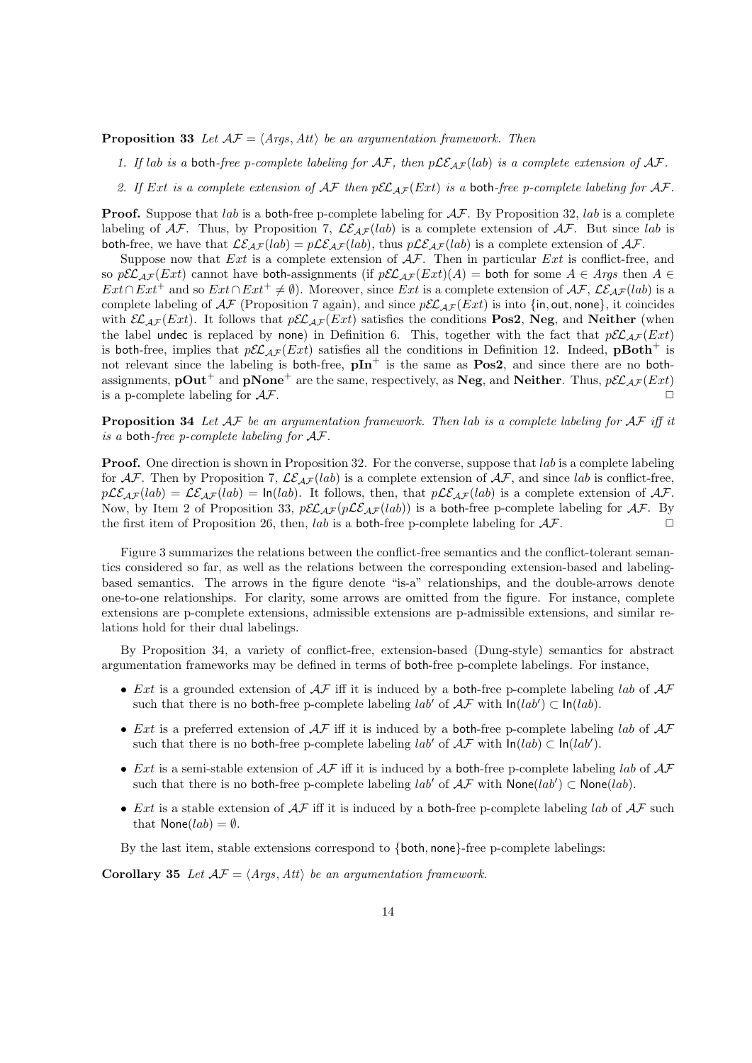**Proposition 33** *Let*  $A\mathcal{F} = \langle Args, Att \rangle$  *be an argumentation framework. Then* 

- 1. If lab is a both-free p-complete labeling for  $AF$ , then  $p\mathcal{LE}_{AF}(lab)$  is a complete extension of  $AF$ .
- 2. If Ext is a complete extension of  $\mathcal{AF}$  then  $p\mathcal{EL}_{AF}(Ext)$  is a both-free p-complete labeling for  $\mathcal{AF}$ .

**Proof.** Suppose that *lab* is a both-free p-complete labeling for *AF*. By Proposition 32, *lab* is a complete labeling of  $AF$ . Thus, by Proposition 7,  $\mathcal{LE}_{AF}(lab)$  is a complete extension of  $AF$ . But since *lab* is both-free, we have that  $\mathcal{LE}_{AF}(lab) = p\mathcal{LE}_{AF}(lab)$ , thus  $p\mathcal{LE}_{AF}(lab)$  is a complete extension of  $\mathcal{AF}$ .

Suppose now that *Ext* is a complete extension of *AF*. Then in particular *Ext* is conflict-free, and so  $p\mathcal{EL}_{AF}(Ext)$  cannot have both-assignments (if  $p\mathcal{EL}_{AF}(Ext)(A) =$  both for some  $A \in Args$  then  $A \in$ *Ext* ∩ *Ext*<sup>+</sup> and so  $Ext \cap Ext^+ \neq \emptyset$ ). Moreover, since *Ext* is a complete extension of  $AF$ ,  $LE_{AF}(lab)$  is a complete labeling of  $\mathcal{AF}$  (Proposition 7 again), and since  $p\mathcal{EL}_{\mathcal{AF}}(Ext)$  is into  $\{in, out, none\}$ , it coincides with  $\mathcal{EL}_{\mathcal{AF}}(Ext)$ . It follows that  $p\mathcal{EL}_{\mathcal{AF}}(Ext)$  satisfies the conditions **Pos2**, **Neg**, and **Neither** (when the label undec is replaced by none) in Definition 6. This, together with the fact that  $p\mathcal{EL}_{AF}(Ext)$ is both-free, implies that  $p\mathcal{EL}_{AF}(Ext)$  satisfies all the conditions in Definition 12. Indeed, **pBoth**<sup>+</sup> is not relevant since the labeling is both-free,  $pIn^+$  is the same as  $Pos2$ , and since there are no bothassignments, **pOut**<sup>+</sup> and **pNone**<sup>+</sup> are the same, respectively, as **Neg**, and **Neither**. Thus,  $p\mathcal{EL}_{AF}(Ext)$  is a p-complete labeling for  $AF$ . is a p-complete labeling for  $AF$ .

**Proposition 34** *Let AF be an argumentation framework. Then lab is a complete labeling for AF iff it is a* both*-free p-complete labeling for AF.*

**Proof.** One direction is shown in Proposition 32. For the converse, suppose that *lab* is a complete labeling for  $\mathcal{AF}$ . Then by Proposition 7,  $\mathcal{LE}_{AF}(lab)$  is a complete extension of  $\mathcal{AF}$ , and since *lab* is conflict-free,  $p\mathcal{LE}_{AF}(lab) = \mathcal{LE}_{AF}(lab) = \ln(lab)$ . It follows, then, that  $p\mathcal{LE}_{AF}(lab)$  is a complete extension of  $AF$ . Now, by Item 2 of Proposition 33,  $p\mathcal{EL}_{AF}(p\mathcal{LE}_{AF}(lab))$  is a both-free p-complete labeling for  $AF$ . By the first item of Proposition 26, then *lab* is a both free p complete labeling for  $AF$ the first item of Proposition 26, then,  $lab$  is a both-free p-complete labeling for  $AF$ .

Figure 3 summarizes the relations between the conflict-free semantics and the conflict-tolerant semantics considered so far, as well as the relations between the corresponding extension-based and labelingbased semantics. The arrows in the figure denote "is-a" relationships, and the double-arrows denote one-to-one relationships. For clarity, some arrows are omitted from the figure. For instance, complete extensions are p-complete extensions, admissible extensions are p-admissible extensions, and similar relations hold for their dual labelings.

By Proposition 34, a variety of conflict-free, extension-based (Dung-style) semantics for abstract argumentation frameworks may be defined in terms of both-free p-complete labelings. For instance,

- *• Ext* is a grounded extension of *AF* iff it is induced by a both-free p-complete labeling *lab* of *AF* such that there is no both-free p-complete labeling  $lab'$  of  $AF$  with  $\ln(lab') \subset \ln(lab)$ .
- *• Ext* is a preferred extension of *AF* iff it is induced by a both-free p-complete labeling *lab* of *AF* such that there is no both-free p-complete labeling  $lab'$  of  $AF$  with  $\ln(lab) \subset \ln(lab')$ .
- *• Ext* is a semi-stable extension of *AF* iff it is induced by a both-free p-complete labeling *lab* of *AF* such that there is no both-free p-complete labeling  $lab'$  of  $AF$  with  $\textsf{None}(lab) \subset \textsf{None}(lab)$ .
- *Ext* is a stable extension of  $A\mathcal{F}$  iff it is induced by a both-free p-complete labeling *lab* of  $A\mathcal{F}$  such that  $\textsf{None}(lab) = \emptyset$ .

By the last item, stable extensions correspond to *{*both*,* none*}*-free p-complete labelings:

**Corollary 35** *Let*  $\mathcal{AF} = \langle \text{Args}, \text{Att} \rangle$  *be an argumentation framework.*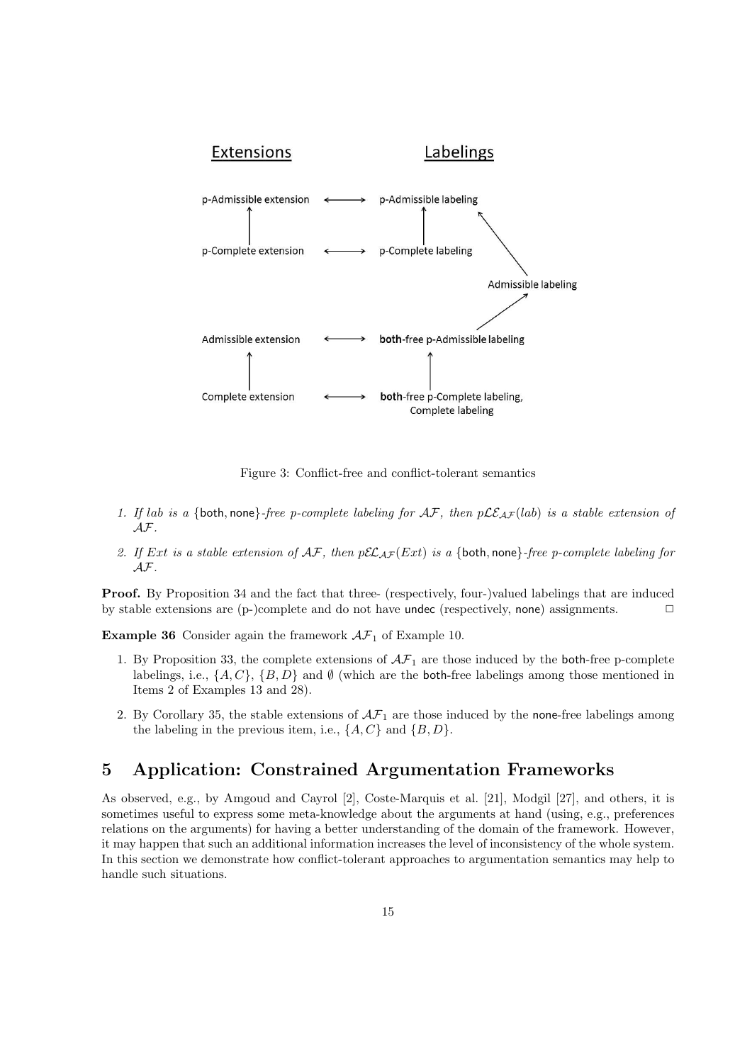

Figure 3: Conflict-free and conflict-tolerant semantics

- 1. If lab is a {both, none}*-free p-complete labeling for*  $AF$ *, then*  $p\mathcal{LE}_{AF}(lab)$  *is a stable extension of AF.*
- 2. If Ext is a stable extension of  $AF$ , then  $pEL_{AF}(Ext)$  is a {both, none}*-free p-complete labeling for AF.*

**Proof.** By Proposition 34 and the fact that three- (respectively, four-)valued labelings that are induced by stable extensions are  $(p-)$ complete and do not have undec (respectively, none) assignments.  $\Box$ 

**Example 36** Consider again the framework  $A\mathcal{F}_1$  of Example 10.

- 1. By Proposition 33, the complete extensions of  $\mathcal{AF}_1$  are those induced by the both-free p-complete labelings, i.e.,  $\{A, C\}$ ,  $\{B, D\}$  and  $\emptyset$  (which are the both-free labelings among those mentioned in Items 2 of Examples 13 and 28).
- 2. By Corollary 35, the stable extensions of  $\mathcal{AF}_1$  are those induced by the none-free labelings among the labeling in the previous item, i.e.,  $\{A, C\}$  and  $\{B, D\}$ .

# **5 Application: Constrained Argumentation Frameworks**

As observed, e.g., by Amgoud and Cayrol [2], Coste-Marquis et al. [21], Modgil [27], and others, it is sometimes useful to express some meta-knowledge about the arguments at hand (using, e.g., preferences relations on the arguments) for having a better understanding of the domain of the framework. However, it may happen that such an additional information increases the level of inconsistency of the whole system. In this section we demonstrate how conflict-tolerant approaches to argumentation semantics may help to handle such situations.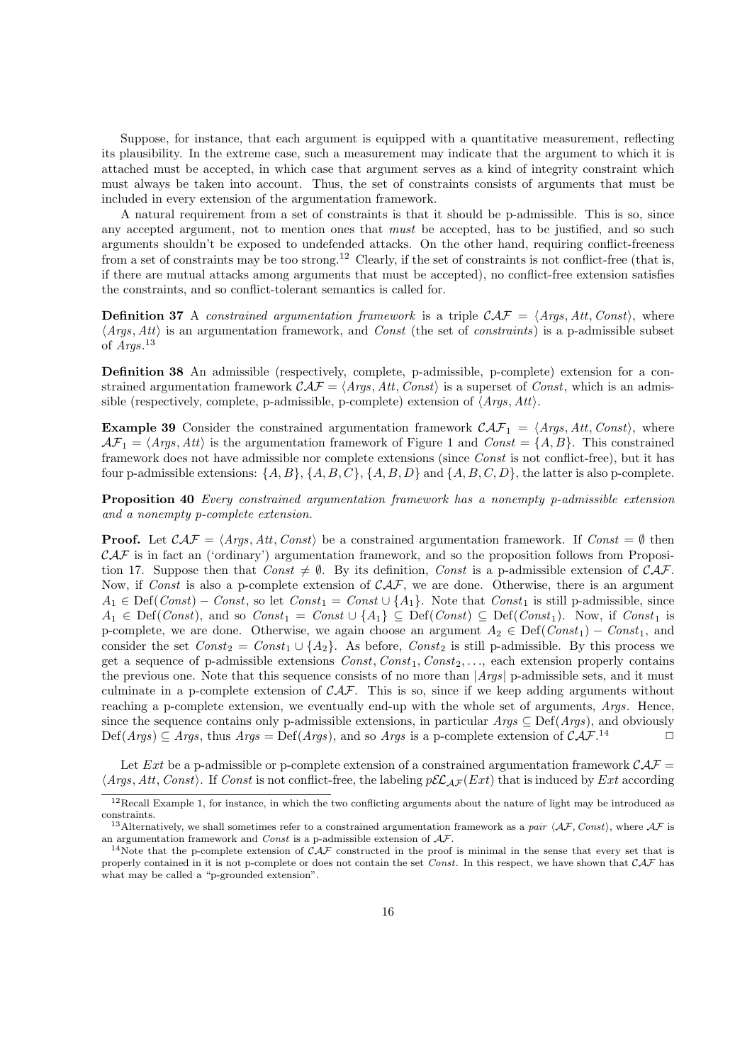Suppose, for instance, that each argument is equipped with a quantitative measurement, reflecting its plausibility. In the extreme case, such a measurement may indicate that the argument to which it is attached must be accepted, in which case that argument serves as a kind of integrity constraint which must always be taken into account. Thus, the set of constraints consists of arguments that must be included in every extension of the argumentation framework.

A natural requirement from a set of constraints is that it should be p-admissible. This is so, since any accepted argument, not to mention ones that *must* be accepted, has to be justified, and so such arguments shouldn't be exposed to undefended attacks. On the other hand, requiring conflict-freeness from a set of constraints may be too strong.<sup>12</sup> Clearly, if the set of constraints is not conflict-free (that is, if there are mutual attacks among arguments that must be accepted), no conflict-free extension satisfies the constraints, and so conflict-tolerant semantics is called for.

**Definition 37** A *constrained argumentation framework* is a triple  $\mathcal{CAF} = \langle \text{Args}, \text{Att}, \text{Const}\rangle$ , where *⟨Args, Att⟩* is an argumentation framework, and *Const* (the set of *constraints*) is a p-admissible subset of *Args*. 13

**Definition 38** An admissible (respectively, complete, p-admissible, p-complete) extension for a constrained argumentation framework  $CAF = \langle Args, Att, Const \rangle$  is a superset of *Const*, which is an admissible (respectively, complete, p-admissible, p-complete) extension of *⟨Args, Att⟩*.

**Example 39** Consider the constrained argumentation framework  $\mathcal{CAF}_1 = \langle \text{Arg}, \text{Att}, \text{Const} \rangle$ , where  $AF_1 = \langle \text{Ans. } Att \rangle$  is the argumentation framework of Figure 1 and *Const* =  $\{A, B\}$ . This constrained framework does not have admissible nor complete extensions (since *Const* is not conflict-free), but it has four p-admissible extensions:  $\{A, B\}$ ,  $\{A, B, C\}$ ,  $\{A, B, D\}$  and  $\{A, B, C, D\}$ , the latter is also p-complete.

**Proposition 40** *Every constrained argumentation framework has a nonempty p-admissible extension and a nonempty p-complete extension.*

**Proof.** Let  $\mathcal{CAF} = \langle \text{Args}, \text{Att}, \text{Const} \rangle$  be a constrained argumentation framework. If  $\text{Const} = \emptyset$  then *CAF* is in fact an ('ordinary') argumentation framework, and so the proposition follows from Proposition 17. Suppose then that  $Const \neq \emptyset$ . By its definition, *Const* is a p-admissible extension of  $CAT$ . Now, if *Const* is also a p-complete extension of  $CAF$ , we are done. Otherwise, there is an argument *A*<sub>1</sub> ∈ Def(*Const*) – *Const*, so let  $Const_1 = Const \cup \{A_1\}$ . Note that  $Const_1$  is still p-admissible, since  $A_1$  ∈ Def(*Const*), and so  $Const_1 = Const \cup \{A_1\} \subseteq Def(Const) \subseteq Def(Const_1)$ . Now, if *Const*<sub>1</sub> is p-complete, we are done. Otherwise, we again choose an argument  $A_2 \in \text{Def}(Const_1) - Const_1$ , and consider the set  $Const_2 = Const_1 \cup \{A_2\}$ . As before, *Const*<sub>2</sub> is still p-admissible. By this process we get a sequence of p-admissible extensions *Const, Const*1*, Const*2*, . . .*, each extension properly contains the previous one. Note that this sequence consists of no more than *|Args|* p-admissible sets, and it must culminate in a p-complete extension of *CAF*. This is so, since if we keep adding arguments without reaching a p-complete extension, we eventually end-up with the whole set of arguments, *Args*. Hence, since the sequence contains only p-admissible extensions, in particular  $Arg \subseteq Def(Arg s)$ , and obviously  $Def(Args) \subseteq Args$ , thus  $Args = Def(Args)$ , and so  $Args$  is a p-complete extension of  $CAF$ .<sup>14</sup>

Let *Ext* be a p-admissible or p-complete extension of a constrained argumentation framework  $\mathcal{CAF}$ *⟨Args, Att, Const⟩*. If *Const* is not conflict-free, the labeling *pELAF* (*Ext*) that is induced by *Ext* according

 $12$ Recall Example 1, for instance, in which the two conflicting arguments about the nature of light may be introduced as constraints.

<sup>&</sup>lt;sup>13</sup>Alternatively, we shall sometimes refer to a constrained argumentation framework as a *pair*  $\langle AF, Const \rangle$ , where  $AF$  is an argumentation framework and *Const* is a p-admissible extension of *AF*.

<sup>&</sup>lt;sup>14</sup>Note that the p-complete extension of  $\hat{CAF}$  constructed in the proof is minimal in the sense that every set that is properly contained in it is not p-complete or does not contain the set *Const*. In this respect, we have shown that *CAF* has what may be called a "p-grounded extension".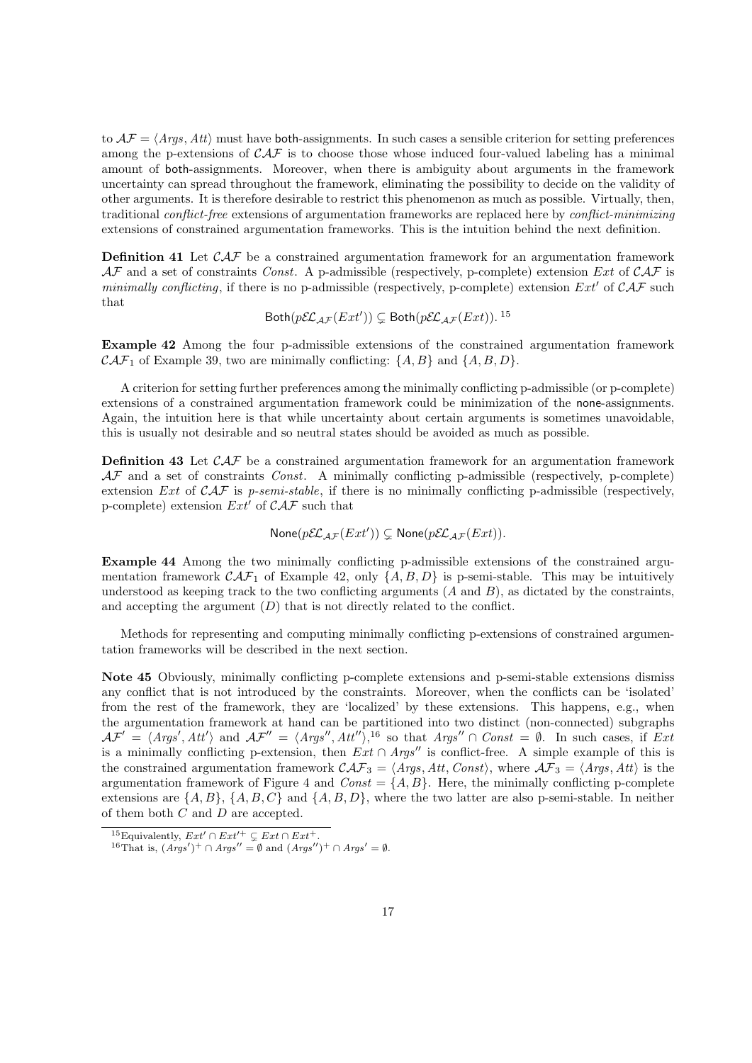to  $A\mathcal{F} = \langle \text{Args}, \text{Att} \rangle$  must have both-assignments. In such cases a sensible criterion for setting preferences among the p-extensions of  $CAF$  is to choose those whose induced four-valued labeling has a minimal amount of both-assignments. Moreover, when there is ambiguity about arguments in the framework uncertainty can spread throughout the framework, eliminating the possibility to decide on the validity of other arguments. It is therefore desirable to restrict this phenomenon as much as possible. Virtually, then, traditional *conflict-free* extensions of argumentation frameworks are replaced here by *conflict-minimizing* extensions of constrained argumentation frameworks. This is the intuition behind the next definition.

**Definition 41** Let *CAF* be a constrained argumentation framework for an argumentation framework *AF* and a set of constraints *Const*. A p-admissible (respectively, p-complete) extension *Ext* of *CAF* is *minimally conflicting*, if there is no p-admissible (respectively, p-complete) extension  $Ext'$  of  $CAF$  such that

$$
\mathsf{Both}(p\mathcal{EL}_{\mathcal{AF}}(Ext')) \subsetneq \mathsf{Both}(p\mathcal{EL}_{\mathcal{AF}}(Ext)).^{15}
$$

**Example 42** Among the four p-admissible extensions of the constrained argumentation framework *CAF*<sub>1</sub> of Example 39, two are minimally conflicting:  $\{A, B\}$  and  $\{A, B, D\}$ .

A criterion for setting further preferences among the minimally conflicting p-admissible (or p-complete) extensions of a constrained argumentation framework could be minimization of the none-assignments. Again, the intuition here is that while uncertainty about certain arguments is sometimes unavoidable, this is usually not desirable and so neutral states should be avoided as much as possible.

**Definition 43** Let *CAF* be a constrained argumentation framework for an argumentation framework *AF* and a set of constraints *Const*. A minimally conflicting p-admissible (respectively, p-complete) extension *Ext* of *CAF* is *p-semi-stable*, if there is no minimally conflicting p-admissible (respectively, p-complete) extension *Ext′* of *CAF* such that

$$
\mathsf{None}(p\mathcal{EL}_{\mathcal{AF}}(Ext')) \subsetneq \mathsf{None}(p\mathcal{EL}_{\mathcal{AF}}(Ext)).
$$

**Example 44** Among the two minimally conflicting p-admissible extensions of the constrained argumentation framework  $\mathcal{CAF}_1$  of Example 42, only  $\{A, B, D\}$  is p-semi-stable. This may be intuitively understood as keeping track to the two conflicting arguments (*A* and *B*), as dictated by the constraints, and accepting the argument  $(D)$  that is not directly related to the conflict.

Methods for representing and computing minimally conflicting p-extensions of constrained argumentation frameworks will be described in the next section.

**Note 45** Obviously, minimally conflicting p-complete extensions and p-semi-stable extensions dismiss any conflict that is not introduced by the constraints. Moreover, when the conflicts can be 'isolated' from the rest of the framework, they are 'localized' by these extensions. This happens, e.g., when the argumentation framework at hand can be partitioned into two distinct (non-connected) subgraphs  $\mathcal{AF}' = \langle \textit{Args}', \textit{Att}' \rangle$  and  $\mathcal{AF}'' = \langle \textit{Args}'', \textit{Att}' \rangle,$ <sup>16</sup> so that  $\textit{Args}'' \cap \textit{Const} = \emptyset$ . In such cases, if  $Ext$ is a minimally conflicting p-extension, then *Ext ∩ Args′′* is conflict-free. A simple example of this is the constrained argumentation framework  $\mathcal{CAF}_3 = \langle \text{Args}, \text{Att}, \text{Const} \rangle$ , where  $\mathcal{AF}_3 = \langle \text{Args}, \text{Att} \rangle$  is the argumentation framework of Figure 4 and  $Const = \{A, B\}$ . Here, the minimally conflicting p-complete extensions are  $\{A, B\}$ ,  $\{A, B, C\}$  and  $\{A, B, D\}$ , where the two latter are also p-semi-stable. In neither of them both *C* and *D* are accepted.

 $^{15}$ Equivalently,  $Ext' \cap Ext'^+ \subsetneq Ext \cap Ext^+$ .

<sup>&</sup>lt;sup>16</sup>That is,  $(Args')$ <sup>+</sup> ∩  $Args'' = ∅$  and  $(Args'')$ <sup>+</sup> ∩  $Args' = ∅$ .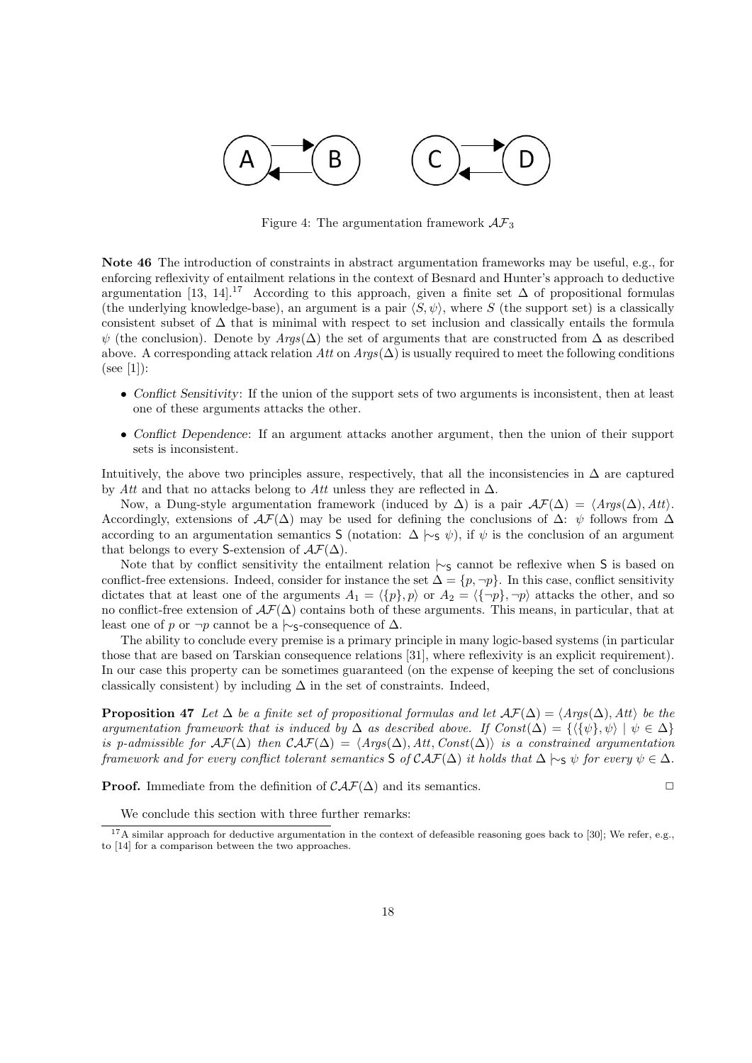

Figure 4: The argumentation framework *AF*<sup>3</sup>

**Note 46** The introduction of constraints in abstract argumentation frameworks may be useful, e.g., for enforcing reflexivity of entailment relations in the context of Besnard and Hunter's approach to deductive argumentation [13, 14].<sup>17</sup> According to this approach, given a finite set  $\Delta$  of propositional formulas (the underlying knowledge-base), an argument is a pair  $\langle S, \psi \rangle$ , where *S* (the support set) is a classically consistent subset of  $\Delta$  that is minimal with respect to set inclusion and classically entails the formula  $\psi$  (the conclusion). Denote by  $Args(\Delta)$  the set of arguments that are constructed from  $\Delta$  as described above. A corresponding attack relation *Att* on  $Arg(\Delta)$  is usually required to meet the following conditions (see [1]):

- *Conflict Sensitivity*: If the union of the support sets of two arguments is inconsistent, then at least one of these arguments attacks the other.
- *• Conflict Dependence*: If an argument attacks another argument, then the union of their support sets is inconsistent.

Intuitively, the above two principles assure, respectively, that all the inconsistencies in  $\Delta$  are captured by *Att* and that no attacks belong to *Att* unless they are reflected in ∆.

Now, a Dung-style argumentation framework (induced by  $\Delta$ ) is a pair  $\mathcal{AF}(\Delta) = \langle \text{Args}(\Delta), \text{Att} \rangle$ . Accordingly, extensions of  $\mathcal{A}\mathcal{F}(\Delta)$  may be used for defining the conclusions of  $\Delta$ :  $\psi$  follows from  $\Delta$ according to an argumentation semantics S (notation:  $\Delta \models_{\mathcal{S}} \psi$ ), if  $\psi$  is the conclusion of an argument that belongs to every S-extension of  $\mathcal{AF}(\Delta)$ .

Note that by conflict sensitivity the entailment relation  $\sim$ <sub>S</sub> cannot be reflexive when S is based on conflict-free extensions. Indeed, consider for instance the set  $\Delta = \{p, \neg p\}$ . In this case, conflict sensitivity dictates that at least one of the arguments  $A_1 = \langle \{p\}, p \rangle$  or  $A_2 = \langle \{-p\}, \neg p \rangle$  attacks the other, and so no conflict-free extension of  $\mathcal{AF}(\Delta)$  contains both of these arguments. This means, in particular, that at least one of *p* or  $\neg p$  cannot be a  $\neg$ <sub>S</sub>-consequence of  $\Delta$ .

The ability to conclude every premise is a primary principle in many logic-based systems (in particular those that are based on Tarskian consequence relations [31], where reflexivity is an explicit requirement). In our case this property can be sometimes guaranteed (on the expense of keeping the set of conclusions classically consistent) by including  $\Delta$  in the set of constraints. Indeed,

**Proposition 47** Let  $\Delta$  be a finite set of propositional formulas and let  $\mathcal{AF}(\Delta) = \langle \text{Arg}(\Delta), \text{Att} \rangle$  be the *argumentation framework that is induced by*  $\Delta$  *as described above. If Const* $(\Delta) = \{ \langle {\psi}, \psi \rangle | \psi \in \Delta \}$ *is p-admissible for*  $\mathcal{AF}(\Delta)$  *then*  $\mathcal{CAT}(\Delta) = \langle \mathcal{A} \mathcal{F}(\Delta), \mathcal{A} \mathcal{H}, \mathcal{C} \mathcal{O} \mathcal{F}(\Delta) \rangle$  *is a constrained argumentation framework and for every conflict tolerant semantics*  $S$  *of*  $CAF(\Delta)$  *it holds that*  $\Delta \vdash_S \psi$  *for every*  $\psi \in \Delta$ *.* 

**Proof.** Immediate from the definition of  $\mathcal{CAF}(\Delta)$  and its semantics.  $\Box$ 

We conclude this section with three further remarks:

 $17A$  similar approach for deductive argumentation in the context of defeasible reasoning goes back to [30]; We refer, e.g., to [14] for a comparison between the two approaches.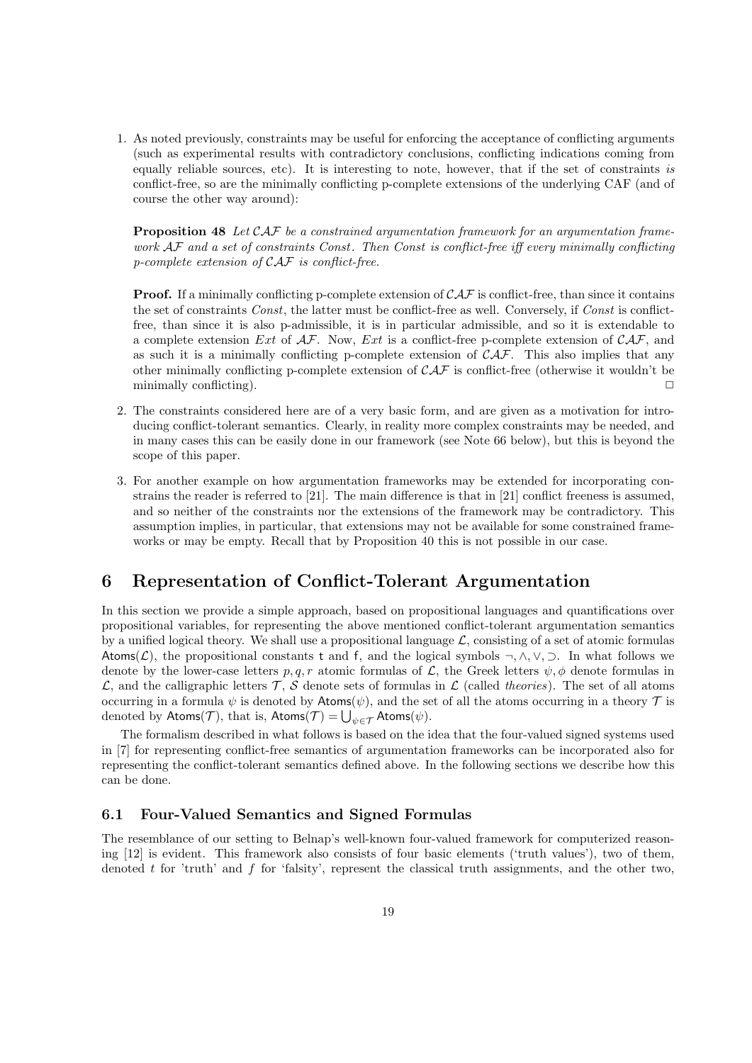1. As noted previously, constraints may be useful for enforcing the acceptance of conflicting arguments (such as experimental results with contradictory conclusions, conflicting indications coming from equally reliable sources, etc). It is interesting to note, however, that if the set of constraints *is* conflict-free, so are the minimally conflicting p-complete extensions of the underlying CAF (and of course the other way around):

**Proposition 48** *Let CAF be a constrained argumentation framework for an argumentation framework AF and a set of constraints Const . Then Const is conflict-free iff every minimally conflicting p-complete extension of CAF is conflict-free.*

**Proof.** If a minimally conflicting p-complete extension of  $\mathcal{CAF}$  is conflict-free, than since it contains the set of constraints *Const*, the latter must be conflict-free as well. Conversely, if *Const* is conflictfree, than since it is also p-admissible, it is in particular admissible, and so it is extendable to a complete extension *Ext* of *AF*. Now, *Ext* is a conflict-free p-complete extension of *CAF*, and as such it is a minimally conflicting p-complete extension of *CAF*. This also implies that any other minimally conflicting p-complete extension of *CAF* is conflict-free (otherwise it wouldn't be minimally conflicting). **□** 

- 2. The constraints considered here are of a very basic form, and are given as a motivation for introducing conflict-tolerant semantics. Clearly, in reality more complex constraints may be needed, and in many cases this can be easily done in our framework (see Note 66 below), but this is beyond the scope of this paper.
- 3. For another example on how argumentation frameworks may be extended for incorporating constrains the reader is referred to [21]. The main difference is that in [21] conflict freeness is assumed, and so neither of the constraints nor the extensions of the framework may be contradictory. This assumption implies, in particular, that extensions may not be available for some constrained frameworks or may be empty. Recall that by Proposition 40 this is not possible in our case.

# **6 Representation of Conflict-Tolerant Argumentation**

In this section we provide a simple approach, based on propositional languages and quantifications over propositional variables, for representing the above mentioned conflict-tolerant argumentation semantics by a unified logical theory. We shall use a propositional language  $\mathcal{L}$ , consisting of a set of atomic formulas Atoms( $\mathcal{L}$ ), the propositional constants t and f, and the logical symbols  $\neg, \wedge, \vee, \supset$ . In what follows we denote by the lower-case letters  $p, q, r$  atomic formulas of  $\mathcal{L}$ , the Greek letters  $\psi, \phi$  denote formulas in  $\mathcal{L}$ , and the calligraphic letters  $\mathcal{T}$ ,  $\mathcal{S}$  denote sets of formulas in  $\mathcal{L}$  (called *theories*). The set of all atoms occurring in a formula  $\psi$  is denoted by Atoms( $\psi$ ), and the set of all the atoms occurring in a theory  $\mathcal T$  is denoted by  $\mathsf{Atoms}(\mathcal{T})$ , that is,  $\mathsf{Atoms}(\mathcal{T}) = \bigcup_{\psi \in \mathcal{T}} \mathsf{Atoms}(\psi)$ .

The formalism described in what follows is based on the idea that the four-valued signed systems used in [7] for representing conflict-free semantics of argumentation frameworks can be incorporated also for representing the conflict-tolerant semantics defined above. In the following sections we describe how this can be done.

### **6.1 Four-Valued Semantics and Signed Formulas**

The resemblance of our setting to Belnap's well-known four-valued framework for computerized reasoning [12] is evident. This framework also consists of four basic elements ('truth values'), two of them, denoted t for 'truth' and f for 'falsity', represent the classical truth assignments, and the other two,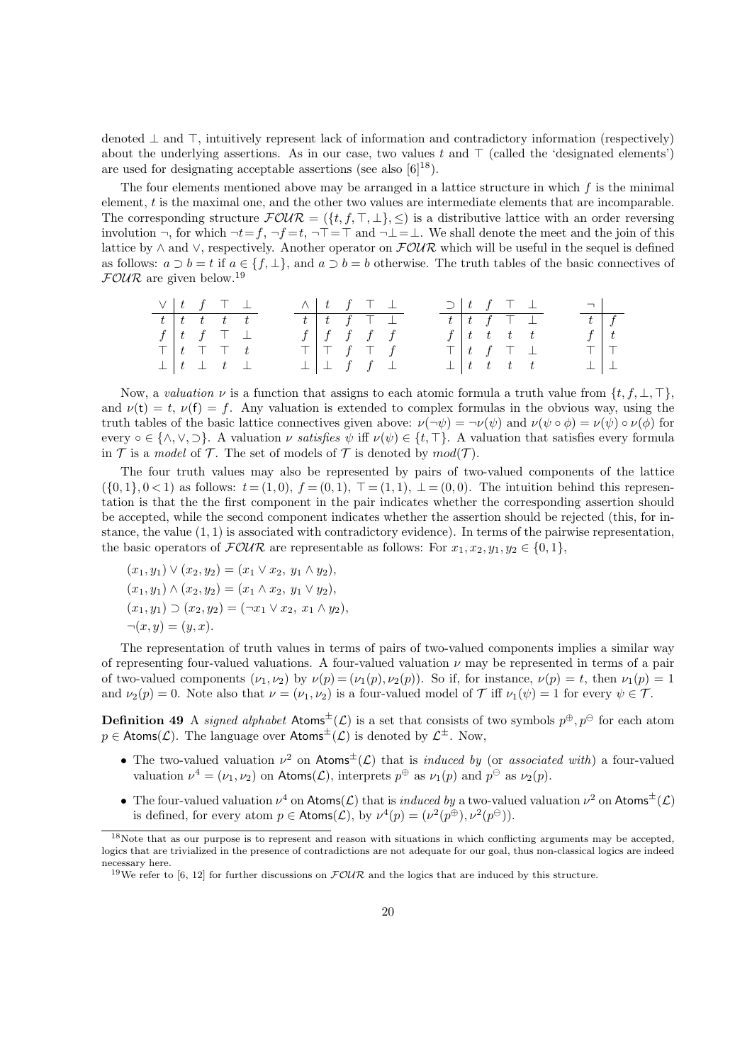denoted *⊥* and *⊤*, intuitively represent lack of information and contradictory information (respectively) about the underlying assertions. As in our case, two values *t* and *⊤* (called the 'designated elements') are used for designating acceptable assertions (see also  $[6]^{18}$ ).

The four elements mentioned above may be arranged in a lattice structure in which *f* is the minimal element, *t* is the maximal one, and the other two values are intermediate elements that are incomparable. The corresponding structure  $FOUR = (\{t, f, \top, \bot\}, \leq)$  is a distributive lattice with an order reversing involution *¬*, for which *¬t*=*f*, *¬f* =*t*, *¬⊤*=*⊤* and *¬⊥*=*⊥*. We shall denote the meet and the join of this lattice by *∧* and *∨*, respectively. Another operator on *FOUR* which will be useful in the sequel is defined as follows:  $a \supset b = t$  if  $a \in \{f, \perp\}$ , and  $a \supset b = b$  otherwise. The truth tables of the basic connectives of *FOUR* are given below.<sup>19</sup>

| $\vee$ $\begin{array}{ccc} t & f & \top & \bot \end{array}$ |  |                                 |  | $\wedge$ $t$ $f$ $\top$ $\bot$ |  |                                   |  |  |                                                             | $\supset$ $\begin{array}{ccc} t & f & \top & \bot \end{array}$ | $\Box$ |                 |
|-------------------------------------------------------------|--|---------------------------------|--|--------------------------------|--|-----------------------------------|--|--|-------------------------------------------------------------|----------------------------------------------------------------|--------|-----------------|
|                                                             |  | $t \mid t \mid t \mid t \mid t$ |  |                                |  | $t$   $t$   $f$   $\top$   $\bot$ |  |  | $t$ $t$ $f$ $\top$ $\bot$                                   |                                                                |        | $t \mid f$      |
|                                                             |  | $f \vert t$ f $\top \bot$       |  |                                |  | $f \mid f \mid f \mid f \mid f$   |  |  |                                                             | $f \mid t \mid t \mid t \mid t$                                |        | $f \mid t$      |
|                                                             |  | $\top$ $t$ $\top$ $\top$ $t$    |  |                                |  | T   T f T f                       |  |  | $\top$ $\begin{array}{ccc} t & f & \top & \bot \end{array}$ |                                                                |        | TIT             |
|                                                             |  | $\perp$ $\perp$ $t$ $\perp$     |  |                                |  | $\perp$ $\perp$ f f $\perp$       |  |  |                                                             | $\perp$   t t t t                                              |        | $\perp$ $\perp$ |

Now, a *valuation*  $\nu$  is a function that assigns to each atomic formula a truth value from  $\{t, f, \bot, \top\}$ . and  $\nu(t) = t$ ,  $\nu(f) = f$ . Any valuation is extended to complex formulas in the obvious way, using the truth tables of the basic lattice connectives given above:  $\nu(\neg \psi) = \neg \nu(\psi)$  and  $\nu(\psi \circ \phi) = \nu(\psi) \circ \nu(\phi)$  for every  $\circ \in \{\land, \lor, \Box\}$ . A valuation *v* satisfies  $\psi$  iff  $\nu(\psi) \in \{t, \top\}$ . A valuation that satisfies every formula in  $\mathcal T$  is a *model* of  $\mathcal T$ . The set of models of  $\mathcal T$  is denoted by  $mod(\mathcal T)$ .

The four truth values may also be represented by pairs of two-valued components of the lattice  $( {0, 1}, {0 < 1} )$  as follows:  $t = (1, 0), f = (0, 1), T = (1, 1), \perp = (0, 0).$  The intuition behind this representation is that the the first component in the pair indicates whether the corresponding assertion should be accepted, while the second component indicates whether the assertion should be rejected (this, for instance, the value (1*,* 1) is associated with contradictory evidence). In terms of the pairwise representation, the basic operators of  $\mathcal{FOUR}$  are representable as follows: For  $x_1, x_2, y_1, y_2 \in \{0, 1\}$ ,

$$
(x_1, y_1) \lor (x_2, y_2) = (x_1 \lor x_2, y_1 \land y_2),
$$
  
\n
$$
(x_1, y_1) \land (x_2, y_2) = (x_1 \land x_2, y_1 \lor y_2),
$$
  
\n
$$
(x_1, y_1) \supset (x_2, y_2) = (\neg x_1 \lor x_2, x_1 \land y_2),
$$
  
\n
$$
\neg(x, y) = (y, x).
$$

The representation of truth values in terms of pairs of two-valued components implies a similar way of representing four-valued valuations. A four-valued valuation  $\nu$  may be represented in terms of a pair of two-valued components  $(\nu_1, \nu_2)$  by  $\nu(p) = (\nu_1(p), \nu_2(p))$ . So if, for instance,  $\nu(p) = t$ , then  $\nu_1(p) = 1$ and  $\nu_2(p) = 0$ . Note also that  $\nu = (\nu_1, \nu_2)$  is a four-valued model of  $\mathcal T$  iff  $\nu_1(\psi) = 1$  for every  $\psi \in \mathcal T$ .

**Definition 49** A *signed alphabet* Atoms<sup> $±$ </sup>( $\mathcal{L}$ ) is a set that consists of two symbols  $p^{\oplus}$ ,  $p^{\ominus}$  for each atom  $p \in$  Atoms( $\mathcal{L}$ ). The language over Atoms<sup> $\pm$ </sup>( $\mathcal{L}$ ) is denoted by  $\mathcal{L}^{\pm}$ . Now,

- *•* The two-valued valuation *ν* <sup>2</sup> on Atoms*±*(*L*) that is *induced by* (or *associated with*) a four-valued valuation  $\nu^4 = (\nu_1, \nu_2)$  on  $\mathsf{Atoms}(\mathcal{L})$ , interprets  $p^{\oplus}$  as  $\nu_1(p)$  and  $p^{\ominus}$  as  $\nu_2(p)$ .
- The four-valued valuation  $\nu^4$  on Atoms(*L*) that is *induced by* a two-valued valuation  $\nu^2$  on Atoms<sup> $\pm$ </sup>(*L*) is defined, for every atom  $p \in \text{Atoms}(\mathcal{L})$ , by  $\nu^4(p) = (\nu^2(p^{\oplus}), \nu^2(p^{\ominus})).$

<sup>&</sup>lt;sup>18</sup>Note that as our purpose is to represent and reason with situations in which conflicting arguments may be accepted, logics that are trivialized in the presence of contradictions are not adequate for our goal, thus non-classical logics are indeed necessary here.

<sup>&</sup>lt;sup>19</sup>We refer to [6, 12] for further discussions on  $FOWR$  and the logics that are induced by this structure.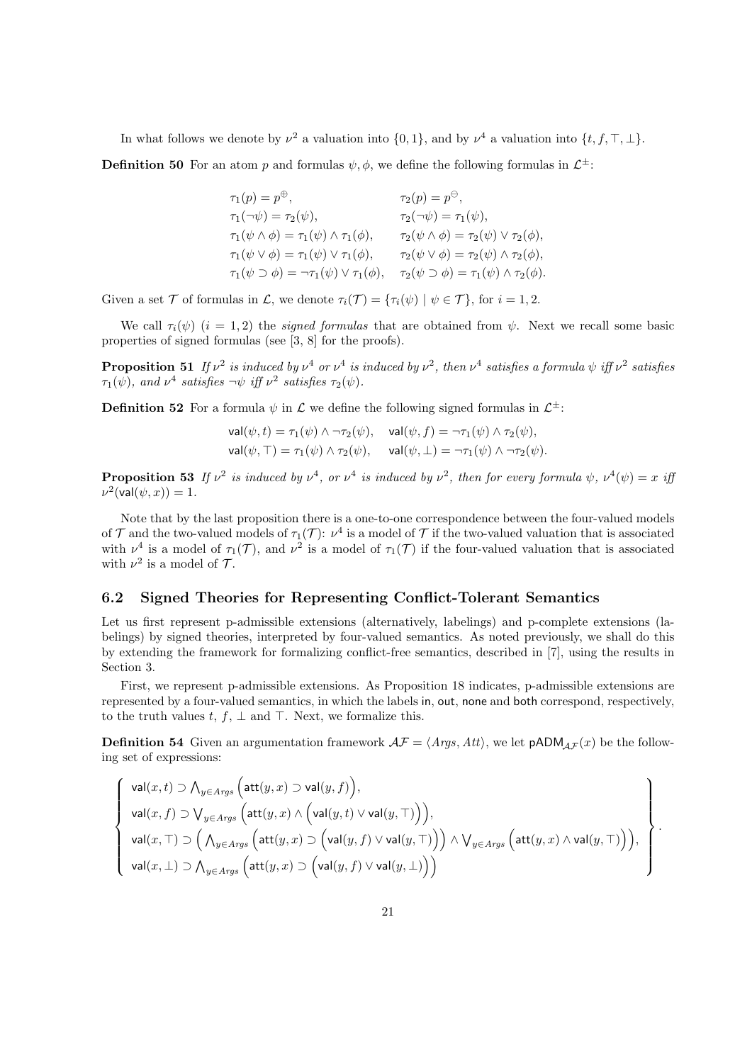In what follows we denote by  $\nu^2$  a valuation into  $\{0,1\}$ , and by  $\nu^4$  a valuation into  $\{t, f, \top, \bot\}$ . **Definition 50** For an atom *p* and formulas  $\psi$ ,  $\phi$ , we define the following formulas in  $\mathcal{L}^{\pm}$ :

 $\tau_1(p) = p^{\oplus}$ ,  $\tau_2(p) = p^{\ominus}$ ,

$$
\tau_1(\neg \psi) = \tau_2(\psi), \qquad \tau_2(\neg \psi) = \tau_1(\psi),
$$
  
\n
$$
\tau_1(\psi \land \phi) = \tau_1(\psi) \land \tau_1(\phi), \qquad \tau_2(\psi \land \phi) = \tau_2(\psi) \lor \tau_2(\phi),
$$
  
\n
$$
\tau_1(\psi \lor \phi) = \tau_1(\psi) \lor \tau_1(\phi), \qquad \tau_2(\psi \lor \phi) = \tau_2(\psi) \land \tau_2(\phi),
$$
  
\n
$$
\tau_1(\psi \supset \phi) = \neg \tau_1(\psi) \lor \tau_1(\phi), \qquad \tau_2(\psi \supset \phi) = \tau_1(\psi) \land \tau_2(\phi).
$$

Given a set  $\mathcal T$  of formulas in  $\mathcal L$ , we denote  $\tau_i(\mathcal T) = {\tau_i(\psi) \mid \psi \in \mathcal T}$ , for  $i = 1, 2$ .

We call  $\tau_i(\psi)$  (*i* = 1, 2) the *signed formulas* that are obtained from  $\psi$ . Next we recall some basic properties of signed formulas (see [3, 8] for the proofs).

**Proposition 51** If  $\nu^2$  is induced by  $\nu^4$  or  $\nu^4$  is induced by  $\nu^2$ , then  $\nu^4$  satisfies a formula  $\psi$  iff  $\nu^2$  satisfies *τ*<sub>1</sub>( $\psi$ ), and  $\nu^4$  satisfies  $\neg \psi$  *iff*  $\nu^2$  satisfies  $\tau_2(\psi)$ .

**Definition 52** For a formula  $\psi$  in  $\mathcal{L}$  we define the following signed formulas in  $\mathcal{L}^{\pm}$ :

$$
\mathsf{val}(\psi, t) = \tau_1(\psi) \land \neg \tau_2(\psi), \quad \mathsf{val}(\psi, f) = \neg \tau_1(\psi) \land \tau_2(\psi),
$$
  

$$
\mathsf{val}(\psi, \top) = \tau_1(\psi) \land \tau_2(\psi), \quad \mathsf{val}(\psi, \bot) = \neg \tau_1(\psi) \land \neg \tau_2(\psi).
$$

**Proposition 53** If  $\nu^2$  is induced by  $\nu^4$ , or  $\nu^4$  is induced by  $\nu^2$ , then for every formula  $\psi$ ,  $\nu^4(\psi) = x$  iff  $\nu^2$ (val $(\psi, x)$ ) = 1*.* 

Note that by the last proposition there is a one-to-one correspondence between the four-valued models of  $\mathcal T$  and the two-valued models of  $\tau_1(\mathcal T)$ :  $\nu^4$  is a model of  $\mathcal T$  if the two-valued valuation that is associated with  $\nu^4$  is a model of  $\tau_1(\mathcal{T})$ , and  $\nu^2$  is a model of  $\tau_1(\mathcal{T})$  if the four-valued valuation that is associated with  $\nu^2$  is a model of  $\mathcal{T}$ .

### **6.2 Signed Theories for Representing Conflict-Tolerant Semantics**

Let us first represent p-admissible extensions (alternatively, labelings) and p-complete extensions (labelings) by signed theories, interpreted by four-valued semantics. As noted previously, we shall do this by extending the framework for formalizing conflict-free semantics, described in [7], using the results in Section 3.

First, we represent p-admissible extensions. As Proposition 18 indicates, p-admissible extensions are represented by a four-valued semantics, in which the labels in, out, none and both correspond, respectively, to the truth values *t*,  $f$ ,  $\perp$  and  $\top$ . Next, we formalize this.

**Definition 54** Given an argumentation framework  $A\mathcal{F} = \langle Args, Att \rangle$ , we let  $pADM_{AF}(x)$  be the following set of expressions:

$$
\left\{\begin{array}{l} \mathsf{val}(x,t) \supset \bigwedge_{y \in \mathit{Arys}} \Big( \mathsf{att}(y,x) \supset \mathsf{val}(y,f) \Big), \\[1em] \mathsf{val}(x,f) \supset \bigvee_{y \in \mathit{Arys}} \Big( \mathsf{att}(y,x) \wedge \Big( \mathsf{val}(y,t) \vee \mathsf{val}(y,\top) \Big) \Big), \\[1em] \mathsf{val}(x,\top) \supset \Big( \bigwedge_{y \in \mathit{Arys}} \Big( \mathsf{att}(y,x) \supset \Big( \mathsf{val}(y,f) \vee \mathsf{val}(y,\top) \Big) \Big) \wedge \bigvee_{y \in \mathit{Arys}} \Big( \mathsf{att}(y,x) \wedge \mathsf{val}(y,\top) \Big) \Big), \\[1em] \mathsf{val}(x,\bot) \supset \bigwedge_{y \in \mathit{Arys}} \Big( \mathsf{att}(y,x) \supset \Big( \mathsf{val}(y,f) \vee \mathsf{val}(y,\bot) \Big) \Big) \end{array} \right\}
$$

*.*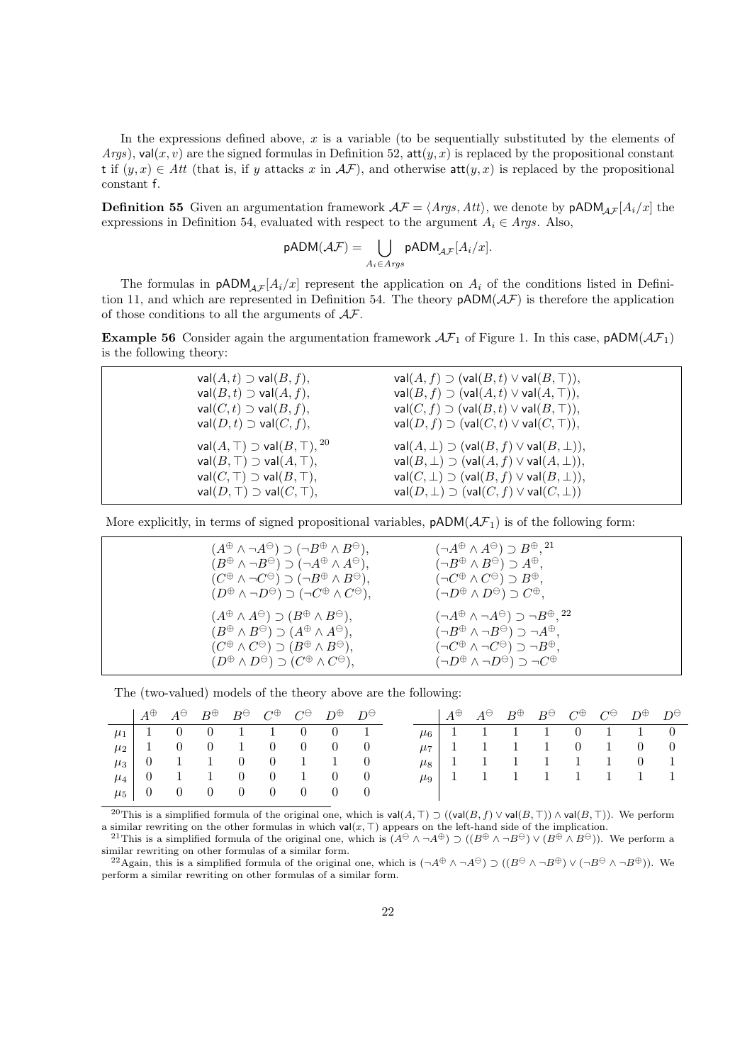In the expressions defined above, x is a variable (to be sequentially substituted by the elements of *Args*), val $(x, v)$  are the signed formulas in Definition 52, att $(y, x)$  is replaced by the propositional constant t if  $(y, x) \in Att$  (that is, if *y* attacks *x* in  $AF$ ), and otherwise att $(y, x)$  is replaced by the propositional constant f.

**Definition 55** Given an argumentation framework  $A\mathcal{F} = \langle \text{Arg} s, \text{Att} \rangle$ , we denote by  $pADM_{AF}[A_i/x]$  the expressions in Definition 54, evaluated with respect to the argument  $A_i \in \text{A} \text{rg} s$ . Also,

$$
\mathsf{pADM}(\mathcal{AF}) = \bigcup_{A_i \in \mathit{Arys}} \mathsf{pADM}_{\mathcal{AF}}[A_i/x].
$$

The formulas in  $pADM_{AF}[A_i/x]$  represent the application on  $A_i$  of the conditions listed in Definition 11, and which are represented in Definition 54. The theory  $pADM(\mathcal{AF})$  is therefore the application of those conditions to all the arguments of *AF*.

**Example 56** Consider again the argumentation framework  $A\mathcal{F}_1$  of Figure 1. In this case,  $pADM(A\mathcal{F}_1)$ is the following theory:

| $val(A, t) \supset val(B, f),$                      | $val(A, f) \supset (val(B, t) \vee val(B, T)),$         |
|-----------------------------------------------------|---------------------------------------------------------|
| $val(B,t) \supset val(A,f),$                        | $val(B, f) \supset (val(A, t) \vee val(A, T)),$         |
| $val(C, t) \supset val(B, f),$                      | $val(C, f) \supset (val(B, t) \vee val(B, T)),$         |
| $val(D, t) \supset val(C, f),$                      | $val(D, f) \supset (val(C, t) \vee val(C, \top)),$      |
| val $(A, \top)$ $\supset$ val $(B, \top)$ , $^{20}$ | $val(A, \perp) \supset (val(B, f) \vee val(B, \perp)),$ |
| $val(B, \top) \supset val(A, \top),$                | $val(B, \perp) \supset (val(A, f) \vee val(A, \perp)),$ |
| $val(C, \top) \supset val(B, \top),$                | $val(C, \perp) \supset (val(B, f) \vee val(B, \perp)),$ |
| $val(D, \top) \supset val(C, \top),$                | $val(D, \perp) \supset (val(C, f) \vee val(C, \perp))$  |

More explicitly, in terms of signed propositional variables,  $pADM(\mathcal{AF}_1)$  is of the following form:

| $(A^{\oplus} \wedge \neg A^{\ominus}) \supset (\neg B^{\oplus} \wedge B^{\ominus}),$<br>$(B^{\oplus} \wedge \neg B^{\ominus}) \supset (\neg A^{\oplus} \wedge A^{\ominus}),$<br>$(C^{\oplus} \wedge \neg C^{\ominus}) \supset (\neg B^{\oplus} \wedge B^{\ominus}),$<br>$(D^{\oplus} \wedge \neg D^{\ominus}) \supset (\neg C^{\oplus} \wedge C^{\ominus}),$ | $(\neg A^{\oplus} \wedge A^{\ominus}) \supset B^{\oplus}$ , <sup>21</sup><br>$(\neg B^\oplus \wedge B^\ominus) \supset A^\oplus,$<br>$(\neg C^{\oplus} \wedge C^{\ominus}) \supset B^{\oplus},$<br>$(\neg D^\oplus \wedge D^\ominus) \supset C^\oplus,$                              |
|--------------------------------------------------------------------------------------------------------------------------------------------------------------------------------------------------------------------------------------------------------------------------------------------------------------------------------------------------------------|--------------------------------------------------------------------------------------------------------------------------------------------------------------------------------------------------------------------------------------------------------------------------------------|
| $(A^{\oplus} \wedge A^{\ominus}) \supset (B^{\oplus} \wedge B^{\ominus}),$<br>$(B^{\oplus} \wedge B^{\ominus}) \supset (A^{\oplus} \wedge A^{\ominus}),$<br>$(C^{\oplus} \wedge C^{\ominus}) \supset (B^{\oplus} \wedge B^{\ominus}),$<br>$(D^{\oplus} \wedge D^{\ominus}) \supset (C^{\oplus} \wedge C^{\ominus}),$                                         | $(\neg A^{\oplus} \wedge \neg A^{\ominus}) \supset \neg B^{\oplus}, ^{22}$<br>$(\neg B^\oplus \wedge \neg B^\ominus) \supset \neg A^\oplus,$<br>$(\neg C^\oplus \wedge \neg C^\ominus) \supset \neg B^\oplus,$<br>$(\neg D^{\oplus} \land \neg D^{\ominus}) \supset \neg C^{\oplus}$ |

The (two-valued) models of the theory above are the following:

|  | $A^{\oplus}$ $A^{\ominus}$ $B^{\oplus}$ $B^{\ominus}$ $C^{\oplus}$ $C^{\ominus}$ $D^{\oplus}$ $D^{\ominus}$ |  |  |  |  |  |  | $A^{\oplus}$ $A^{\ominus}$ $B^{\oplus}$ $B^{\ominus}$ $C^{\oplus}$ $C^{\ominus}$ $D^{\oplus}$ $D^{\ominus}$ |  |
|--|-------------------------------------------------------------------------------------------------------------|--|--|--|--|--|--|-------------------------------------------------------------------------------------------------------------|--|
|  | $\mu_1$   1 0 0 1 1 0 0 1                                                                                   |  |  |  |  |  |  | $\mu_6$   1   1   1   0   1   1   0                                                                         |  |
|  | $\mu_2$   1 0 0 1 0 0 0 0                                                                                   |  |  |  |  |  |  |                                                                                                             |  |
|  | $\mu_3$   0   1   1   0   0   1   1   0                                                                     |  |  |  |  |  |  | $\mu_8$   1   1   1   1   0   1                                                                             |  |
|  |                                                                                                             |  |  |  |  |  |  |                                                                                                             |  |
|  | $\mu_5$   0 0 0 0 0 0 0 0 0                                                                                 |  |  |  |  |  |  |                                                                                                             |  |

 $^{20}$ This is a simplified formula of the original one, which is val( $A, T$ )  $\supset$  ((val( $B, f$ )  $\vee$  val( $B, T$ )). We perform a similar rewriting on the other formulas in which val(*x, ⊤*) appears on the left-hand side of the implication.

<sup>21</sup>This is a simplified formula of the original one, which is  $(A^{\ominus} \wedge \neg A^{\oplus}) \supset ((B^{\oplus} \wedge \neg B^{\ominus}) \vee (B^{\oplus} \wedge B^{\ominus}))$ . We perform a similar rewriting on other formulas of a similar form.

<sup>22</sup>Again, this is a simplified formula of the original one, which is  $(\neg A^{\oplus} \land \neg A^{\ominus}) \supset ((B^{\ominus} \land \neg B^{\oplus}) \lor (\neg B^{\ominus} \land \neg B^{\oplus}))$ . We perform a similar rewriting on other formulas of a similar form.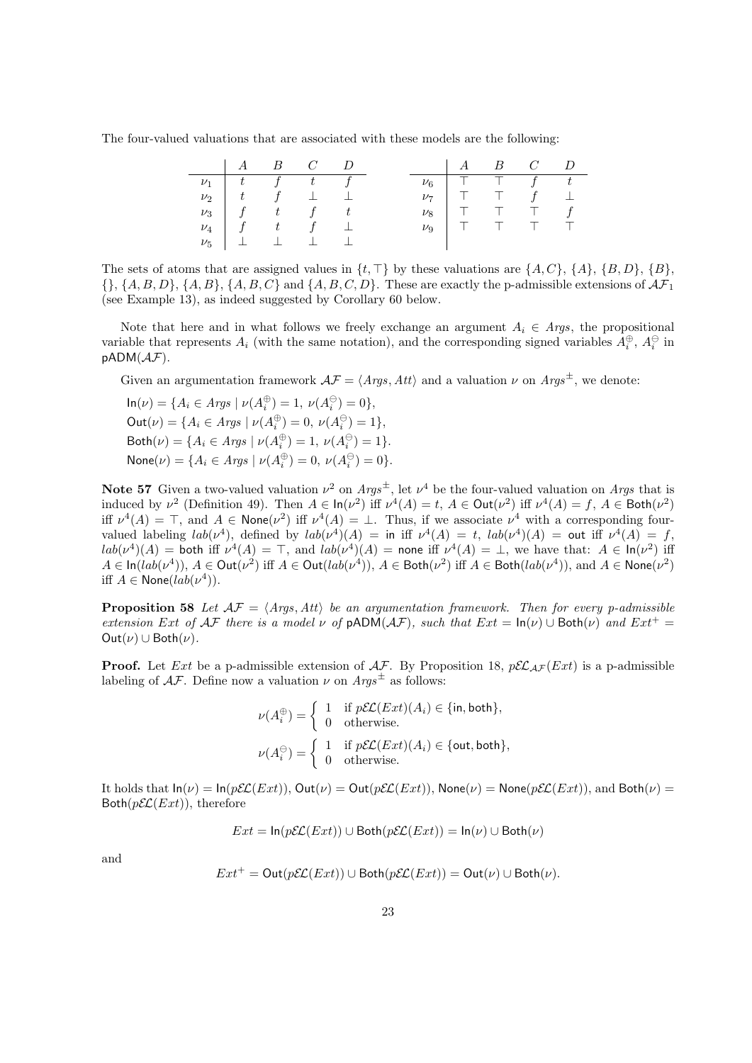The four-valued valuations that are associated with these models are the following:

|  | $A \quad B \quad C \quad D$                                    |  |  |  | $A \quad B \quad C \quad D$ |  |
|--|----------------------------------------------------------------|--|--|--|-----------------------------|--|
|  | $\nu_1$   t f t f                                              |  |  |  | $\nu_6$   T T $f$ t         |  |
|  | $\nu_2$ $\begin{array}{ccc} t & f & \perp & \perp \end{array}$ |  |  |  | $\nu_7$   T T $f$ $\perp$   |  |
|  | $\nu_3$   f t f t                                              |  |  |  | $\nu_8$   T T T f           |  |
|  | $\nu_4$   f t f $\perp$                                        |  |  |  | $\nu_9$   T T T T           |  |
|  | $\nu_5$ $\perp$ $\perp$ $\perp$ $\perp$                        |  |  |  |                             |  |

The sets of atoms that are assigned values in  $\{t, \top\}$  by these valuations are  $\{A, C\}$ ,  $\{A\}$ ,  $\{B, D\}$ ,  $\{B\}$ , *{}*, *{A, B, D}*, *{A, B}*, *{A, B, C}* and *{A, B, C, D}*. These are exactly the p-admissible extensions of *AF*<sup>1</sup> (see Example 13), as indeed suggested by Corollary 60 below.

Note that here and in what follows we freely exchange an argument  $A_i \in \text{A} \text{rgs}$ , the propositional variable that represents  $A_i$  (with the same notation), and the corresponding signed variables  $A_i^{\oplus}$ ,  $A_i^{\ominus}$  in pADM(*AF*).

Given an argumentation framework  $\mathcal{AF} = \langle \textit{Arys}, \textit{Att} \rangle$  and a valuation  $\nu$  on  $\textit{Arys}^{\pm}$ , we denote:

 $\ln(\nu) = \{A_i \in \text{A} \text{rgs } | \nu(A_i^{\oplus}) = 1, \nu(A_i^{\ominus}) = 0\},\$  $\text{Out}(\nu) = \{A_i \in \text{A} \text{rgs } | \nu(A_i^{\oplus}) = 0, \nu(A_i^{\ominus}) = 1\},\$  $\text{Both}(\nu) = \{A_i \in \text{A} \text{rgs } \mid \nu(A_i^{\oplus}) = 1, \ \nu(A_i^{\ominus}) = 1\}.$  $\textsf{None}(\nu) = \{A_i \in \textit{Args} \mid \nu(A_i^{\oplus}) = 0, \ \nu(A_i^{\ominus}) = 0\}.$ 

**Note 57** Given a two-valued valuation  $\nu^2$  on  $Args^{\pm}$ , let  $\nu^4$  be the four-valued valuation on Args that is induced by  $\nu^2$  (Definition 49). Then  $A \in \text{In}(\nu^2)$  iff  $\nu^4(A) = t$ ,  $A \in \text{Out}(\nu^2)$  iff  $\nu^4(A) = f$ ,  $A \in \text{Both}(\nu^2)$ iff  $\nu^4(A) = \top$ , and  $A \in \text{None}(\nu^2)$  iff  $\nu^4(A) = \bot$ . Thus, if we associate  $\nu^4$  with a corresponding fourvalued labeling  $lab(\nu^4)$ , defined by  $lab(\nu^4)(A) =$  in iff  $\nu^4(A) = t$ ,  $lab(\nu^4)(A) =$  out iff  $\nu^4(A) = f$ ,  $lab(\nu^4)(A) =$  both iff  $\nu^4(A) = \top$ , and  $lab(\nu^4)(A) =$  none iff  $\nu^4(A) = \bot$ , we have that:  $A \in \text{In}(\nu^2)$  iff  $A \in \text{In}(lab(\nu^4)), A \in \text{Out}(\nu^2)$  iff  $A \in \text{Out}(lab(\nu^4)), A \in \text{Both}(\nu^2)$  iff  $A \in \text{Both}(lab(\nu^4)),$  and  $A \in \text{None}(\nu^2)$ iff  $A \in \textsf{None}(lab(\nu^4)).$ 

**Proposition 58** Let  $AF = \langle Args, Att \rangle$  be an argumentation framework. Then for every p-admissible *extension Ext of*  $A\mathcal{F}$  *there is a model*  $\nu$  *of*  $pADM(A\mathcal{F})$ *, such that*  $Ext = \ln(\nu) \cup \text{Both}(\nu)$  *and*  $Ext^+ =$  $Out(\nu) \cup Both(\nu)$ .

**Proof.** Let *Ext* be a p-admissible extension of  $A\mathcal{F}$ . By Proposition 18,  $p\mathcal{EL}_{A\mathcal{F}}(Ext)$  is a p-admissible labeling of  $A\mathcal{F}$ . Define now a valuation  $\nu$  on  $A\eta s^{\pm}$  as follows:

$$
\nu(A_i^{\oplus}) = \begin{cases} 1 & \text{if } p\mathcal{EL}(Ext)(A_i) \in \{\text{in}, \text{both}\}, \\ 0 & \text{otherwise.} \end{cases}
$$

$$
\nu(A_i^{\ominus}) = \begin{cases} 1 & \text{if } p\mathcal{EL}(Ext)(A_i) \in \{\text{out}, \text{both}\}, \\ 0 & \text{otherwise.} \end{cases}
$$

It holds that  $\ln(\nu) = \ln(\rho \mathcal{EL}(Ext))$ ,  $\text{Out}(\nu) = \text{Out}(\rho \mathcal{EL}(Ext))$ ,  $\text{None}(\nu) = \text{None}(\rho \mathcal{EL}(Ext))$ , and  $\text{Both}(\nu) =$  $Both(pE\mathcal{L}(Ext))$ , therefore

$$
Ext = \ln(p\mathcal{EL}(Ext)) \cup \text{Both}(p\mathcal{EL}(Ext)) = \ln(\nu) \cup \text{Both}(\nu)
$$

and

$$
Ext^+ = \text{Out}(p\mathcal{EL}(Ext)) \cup \text{Both}(p\mathcal{EL}(Ext)) = \text{Out}(\nu) \cup \text{Both}(\nu).
$$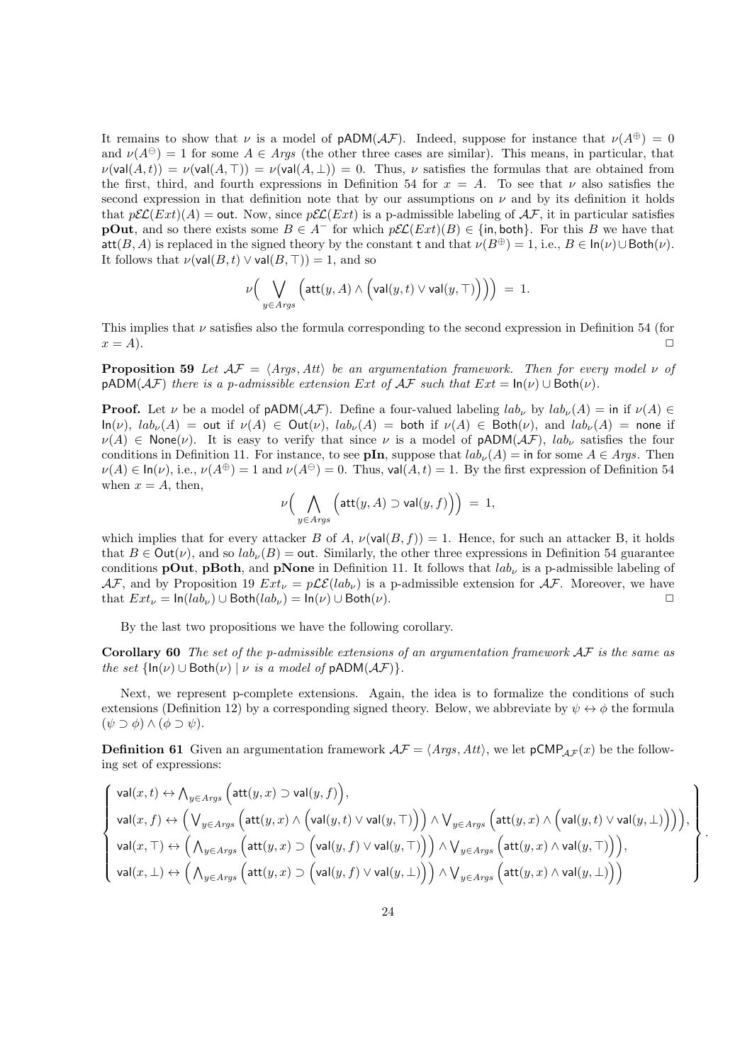It remains to show that *ν* is a model of  $pADM(\mathcal{AF})$ . Indeed, suppose for instance that  $\nu(A^{\oplus}) = 0$ and  $\nu(A^{\ominus}) = 1$  for some  $A \in \text{Args}$  (the other three cases are similar). This means, in particular, that  $\nu(\text{val}(A, t)) = \nu(\text{val}(A, \top)) = \nu(\text{val}(A, \bot)) = 0$ . Thus, *v* satisfies the formulas that are obtained from the first, third, and fourth expressions in Definition 54 for  $x = A$ . To see that  $\nu$  also satisfies the second expression in that definition note that by our assumptions on  $\nu$  and by its definition it holds that  $p\mathcal{EL}(Ext)(A) = \text{out}$ . Now, since  $p\mathcal{EL}(Ext)$  is a p-admissible labeling of  $\mathcal{AF}$ , it in particular satisfies **pOut**, and so there exists some  $B \in A^-$  for which  $p\mathcal{EL}(Ext)(B) \in \{\text{in}, \text{both}\}\.$  For this *B* we have that att $(B, A)$  is replaced in the signed theory by the constant t and that  $\nu(B^{\oplus}) = 1$ , i.e.,  $B \in \text{In}(\nu) \cup \text{Both}(\nu)$ . It follows that  $\nu(\text{val}(B, t) \vee \text{val}(B, T)) = 1$ , and so

$$
\nu\Big(\bigvee_{y\in Args}\Big(\mathsf{att}(y,A)\wedge\Big(\mathsf{val}(y,t)\vee\mathsf{val}(y,\top)\Big)\Big)\Big)\ =\ 1.
$$

This implies that *ν* satisfies also the formula corresponding to the second expression in Definition 54 (for  $x = A$ ).

**Proposition 59** *Let*  $A\mathcal{F} = \langle \text{Args}, \text{Att} \rangle$  *be an argumentation framework. Then for every model*  $\nu$  *of*  $pADM(\mathcal{AF})$  *there is a p-admissible extension Ext of*  $\mathcal{AF}$  *such that*  $Ext = \ln(\nu) \cup Bot(\nu)$ *.* 

**Proof.** Let *ν* be a model of  $\text{pADM}(\mathcal{AF})$ . Define a four-valued labeling  $lab_\nu$  by  $lab_\nu(A) = \text{in if } \nu(A) \in$  $\ln(\nu)$ ,  $lab_{\nu}(A) = \text{out if } \nu(A) \in \text{Out}(\nu)$ ,  $lab_{\nu}(A) = \text{both if } \nu(A) \in \text{Both}(\nu)$ , and  $lab_{\nu}(A) = \text{none if }$  $\nu(A) \in \text{None}(\nu)$ . It is easy to verify that since  $\nu$  is a model of  $pADM(\mathcal{AF})$ , *lab<sub>* $\nu$ *</sub>* satisfies the four conditions in Definition 11. For instance, to see **pIn**, suppose that  $lab_{\nu}(A) =$  in for some  $A \in Args$ . Then  $\nu(A) \in \ln(\nu)$ , i.e.,  $\nu(A^{\oplus}) = 1$  and  $\nu(A^{\ominus}) = 0$ . Thus, val(*A, t*) = 1. By the first expression of Definition 54 when  $x = A$ , then,

$$
\nu\Big(\bigwedge_{y\in \mathit{Arys}}\Big(\mathsf{att}(y,A)\supset \mathsf{val}(y,f)\Big)\Big)\ =\ 1,
$$

which implies that for every attacker *B* of *A*,  $\nu(\text{val}(B, f)) = 1$ . Hence, for such an attacker *B*, it holds that  $B \in \text{Out}(\nu)$ , and so  $lab_{\nu}(B) = \text{out}$ . Similarly, the other three expressions in Definition 54 guarantee conditions **pOut**, **pBoth**, and **pNone** in Definition 11. It follows that *lab<sup>ν</sup>* is a p-admissible labeling of  $AF$ , and by Proposition 19  $Ext_\nu = p\mathcal{LE}(lab_\nu)$  is a p-admissible extension for  $AF$ . Moreover, we have  $\text{that } Ext_{\nu} = \ln(lab_{\nu}) \cup \text{Both}(lab_{\nu}) = \ln(\nu) \cup \text{Both}(\nu).$ 

By the last two propositions we have the following corollary.

**Corollary 60** *The set of the p-admissible extensions of an argumentation framework AF is the same as the set*  $\{\ln(\nu) \cup \text{Both}(\nu) \mid \nu \text{ is a model of } \text{pADM}(\mathcal{AF})\}.$ 

Next, we represent p-complete extensions. Again, the idea is to formalize the conditions of such extensions (Definition 12) by a corresponding signed theory. Below, we abbreviate by  $\psi \leftrightarrow \phi$  the formula  $(\psi \supset \phi) \wedge (\phi \supset \psi).$ 

**Definition 61** Given an argumentation framework  $A\mathcal{F} = \langle Args, Att \rangle$ , we let  $pCMP_{A\mathcal{F}}(x)$  be the following set of expressions:

$$
\left\{\begin{array}{l} \mathsf{val}(x,t) \leftrightarrow \bigwedge_{y \in \mathit{Arys}}\Big(\mathsf{att}(y,x) \supset \mathsf{val}(y,f)\Big), \\[1mm] \mathsf{val}(x,f) \leftrightarrow \Big(\bigvee_{y \in \mathit{Arys}}\Big(\mathsf{att}(y,x) \wedge \Big(\mathsf{val}(y,t) \vee \mathsf{val}(y,T)\Big)\Big) \wedge \bigvee_{y \in \mathit{Arys}}\Big(\mathsf{att}(y,x) \wedge \Big(\mathsf{val}(y,t) \vee \mathsf{val}(y,\bot)\Big)\Big)\Big), \\[1mm] \mathsf{val}(x,T) \leftrightarrow \Big(\bigwedge_{y \in \mathit{Arys}}\Big(\mathsf{att}(y,x) \supset \Big(\mathsf{val}(y,f) \vee \mathsf{val}(y,T)\Big)\Big) \wedge \bigvee_{y \in \mathit{Arys}}\Big(\mathsf{att}(y,x) \wedge \mathsf{val}(y,T)\Big)\Big), \\[1mm] \mathsf{val}(x,\bot) \leftrightarrow \Big(\bigwedge_{y \in \mathit{Arys}}\Big(\mathsf{att}(y,x) \supset \Big(\mathsf{val}(y,f) \vee \mathsf{val}(y,\bot)\Big)\Big) \wedge \bigvee_{y \in \mathit{Arys}}\Big(\mathsf{att}(y,x) \wedge \mathsf{val}(y,\bot)\Big)\Big) \end{array}\right\}
$$

*.*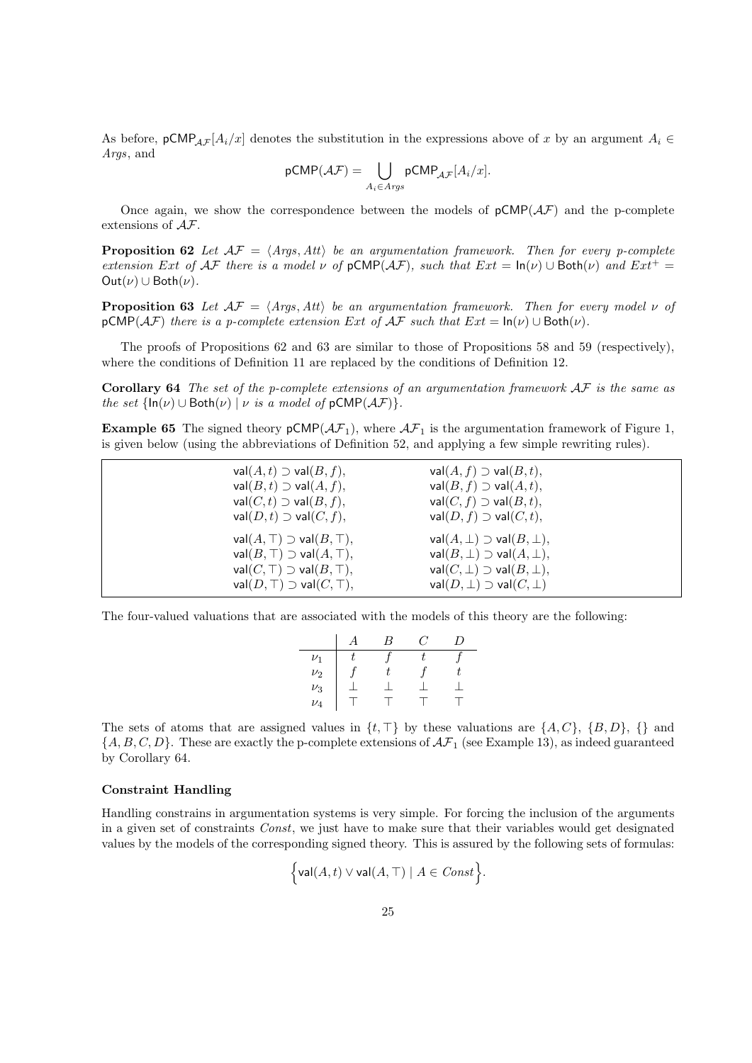As before,  $pCMP_{AF}[A_i/x]$  denotes the substitution in the expressions above of x by an argument  $A_i \in$ *Args*, and

$$
\mathsf{pCMP}(\mathcal{AF}) = \bigcup_{A_i \in \mathit{Arys}} \mathsf{pCMP}_{\mathcal{AF}}[A_i/x].
$$

Once again, we show the correspondence between the models of  $pCMP(\mathcal{AF})$  and the p-complete extensions of *AF*.

**Proposition 62** Let  $AF = \langle \text{Args}, \text{Att} \rangle$  be an argumentation framework. Then for every p-complete *extension Ext of*  $A\mathcal{F}$  *there is a model*  $\nu$  *of*  $pCMP(A\mathcal{F})$ *, such that*  $Ext = \ln(\nu) \cup Both(\nu)$  *and*  $Ext^+ =$  $Out(\nu) \cup Both(\nu)$ .

**Proposition 63** *Let*  $A\mathcal{F} = \langle \text{Args}, \text{Att} \rangle$  *be an argumentation framework. Then for every model*  $\nu$  *of*  $pCMP(\mathcal{AF})$  *there is a p-complete extension Ext of*  $\mathcal{AF}$  *such that*  $Ext = \ln(\nu) \cup \text{Both}(\nu)$ *.* 

The proofs of Propositions 62 and 63 are similar to those of Propositions 58 and 59 (respectively), where the conditions of Definition 11 are replaced by the conditions of Definition 12.

**Corollary 64** *The set of the p-complete extensions of an argumentation framework AF is the same as the set*  $\{\ln(\nu) \cup \text{Both}(\nu) \mid \nu \text{ is a model of } p\text{CMP}(\mathcal{AF})\}.$ 

**Example 65** The signed theory  $pCMP(\mathcal{AF}_1)$ , where  $\mathcal{AF}_1$  is the argumentation framework of Figure 1, is given below (using the abbreviations of Definition 52, and applying a few simple rewriting rules).

| $val(A, t) \supset val(B, f),$<br>$val(B,t) \supset val(A,f),$<br>$val(C, t) \supset val(B, f),$<br>$val(D, t) \supset val(C, f),$                           | $val(A, f) \supset val(B, t),$<br>$val(B, f) \supset val(A, t),$<br>$val(C, f) \supset val(B, t),$<br>$val(D, f) \supset val(C, t),$                                |
|--------------------------------------------------------------------------------------------------------------------------------------------------------------|---------------------------------------------------------------------------------------------------------------------------------------------------------------------|
| $val(A, \top) \supset val(B, \top),$<br>$val(B, \top) \supset val(A, \top),$<br>$val(C, \top) \supset val(B, \top),$<br>$val(D, \top) \supset val(C, \top),$ | $val(A, \perp) \supset val(B, \perp),$<br>$val(B, \perp) \supset val(A, \perp),$<br>$val(C, \perp) \supset val(B, \perp),$<br>$val(D, \perp) \supset val(C, \perp)$ |

The four-valued valuations that are associated with the models of this theory are the following:

|         | B | C. | I) |
|---------|---|----|----|
| $\nu_1$ |   |    |    |
| $\nu_2$ |   |    |    |
| $\nu_3$ |   |    |    |
| $\nu_4$ |   |    |    |

The sets of atoms that are assigned values in *{t, ⊤}* by these valuations are *{A, C}*, *{B, D}*, *{}* and  ${A, B, C, D}$ . These are exactly the p-complete extensions of  $\mathcal{AF}_1$  (see Example 13), as indeed guaranteed by Corollary 64.

### **Constraint Handling**

Handling constrains in argumentation systems is very simple. For forcing the inclusion of the arguments in a given set of constraints *Const*, we just have to make sure that their variables would get designated values by the models of the corresponding signed theory. This is assured by the following sets of formulas:

$$
\Big\{{\rm val}(A,t)\vee {\rm val}(A,\top)\mid A\in \mathit{Const}\Big\}.
$$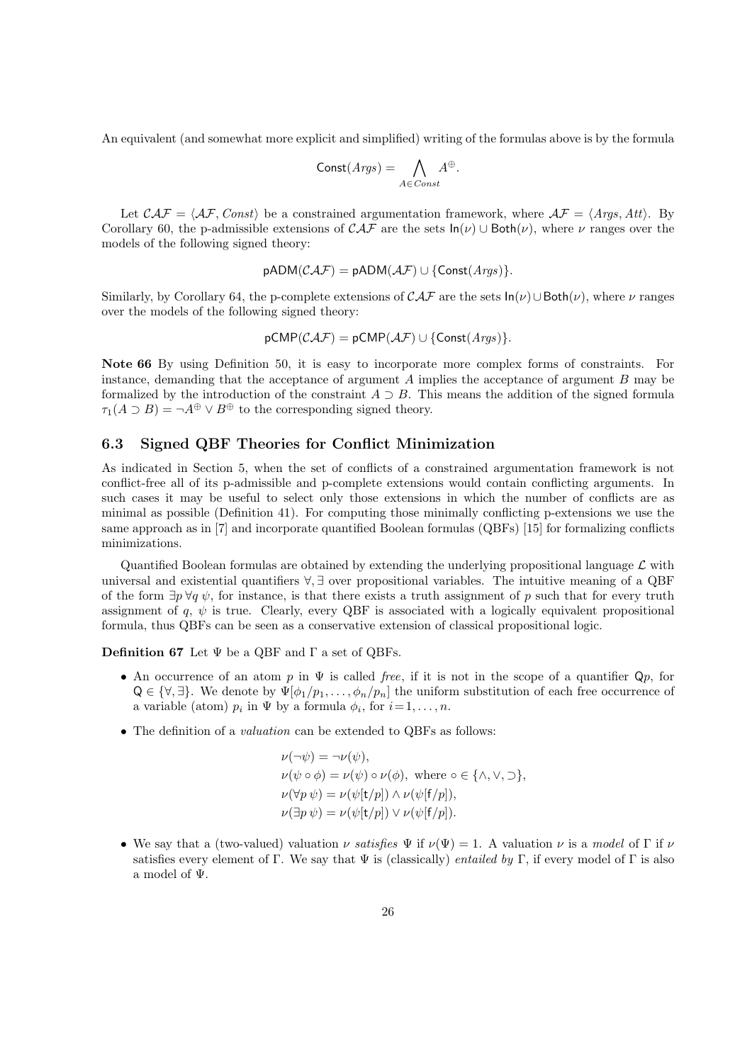An equivalent (and somewhat more explicit and simplified) writing of the formulas above is by the formula

$$
Const(Args) = \bigwedge_{A \in Const} A^{\oplus}.
$$

Let  $\mathcal{CAF} = \langle \mathcal{AF}, \mathit{Const}\rangle$  be a constrained argumentation framework, where  $\mathcal{AF} = \langle \mathit{Args}, \mathit{Att}\rangle$ . By Corollary 60, the p-admissible extensions of  $\mathcal{CAF}$  are the sets  $\ln(\nu) \cup \text{Both}(\nu)$ , where  $\nu$  ranges over the models of the following signed theory:

$$
pADM(CAF) = pADM(AF) \cup \{Const(Args)\}.
$$

Similarly, by Corollary 64, the p-complete extensions of  $\mathcal{CAT}$  are the sets  $\ln(\nu) \cup \text{Both}(\nu)$ , where  $\nu$  ranges over the models of the following signed theory:

$$
\mathsf{pCMP}(\mathcal{CAF}) = \mathsf{pCMP}(\mathcal{AF}) \cup \{\mathsf{Const}(Args)\}.
$$

**Note 66** By using Definition 50, it is easy to incorporate more complex forms of constraints. For instance, demanding that the acceptance of argument *A* implies the acceptance of argument *B* may be formalized by the introduction of the constraint  $A \supset B$ . This means the addition of the signed formula  $\tau_1(A \supset B) = \neg A^{\oplus} \vee B^{\oplus}$  to the corresponding signed theory.

### **6.3 Signed QBF Theories for Conflict Minimization**

As indicated in Section 5, when the set of conflicts of a constrained argumentation framework is not conflict-free all of its p-admissible and p-complete extensions would contain conflicting arguments. In such cases it may be useful to select only those extensions in which the number of conflicts are as minimal as possible (Definition 41). For computing those minimally conflicting p-extensions we use the same approach as in [7] and incorporate quantified Boolean formulas (QBFs) [15] for formalizing conflicts minimizations.

Quantified Boolean formulas are obtained by extending the underlying propositional language *L* with universal and existential quantifiers *∀, ∃* over propositional variables. The intuitive meaning of a QBF of the form  $\exists p \forall q \psi$ , for instance, is that there exists a truth assignment of *p* such that for every truth assignment of  $q, \psi$  is true. Clearly, every QBF is associated with a logically equivalent propositional formula, thus QBFs can be seen as a conservative extension of classical propositional logic.

**Definition 67** Let Ψ be a QBF and Γ a set of QBFs.

- *•* An occurrence of an atom *p* in Ψ is called *free*, if it is not in the scope of a quantifier Q*p*, for  $Q \in \{\forall, \exists\}$ . We denote by  $\Psi[\phi_1/p_1, \ldots, \phi_n/p_n]$  the uniform substitution of each free occurrence of a variable (atom)  $p_i$  in  $\Psi$  by a formula  $\phi_i$ , for  $i = 1, \ldots, n$ .
- *•* The definition of a *valuation* can be extended to QBFs as follows:

$$
\nu(\neg\psi) = \neg\nu(\psi),
$$
  
\n
$$
\nu(\psi \circ \phi) = \nu(\psi) \circ \nu(\phi), \text{ where } \circ \in \{\land, \lor, \supset\},
$$
  
\n
$$
\nu(\forall p \psi) = \nu(\psi[t/p]) \land \nu(\psi[f/p]),
$$
  
\n
$$
\nu(\exists p \psi) = \nu(\psi[t/p]) \lor \nu(\psi[f/p]).
$$

• We say that a (two-valued) valuation *ν* satisfies  $\Psi$  if  $\nu(\Psi) = 1$ . A valuation *ν* is a *model* of Γ if  $\nu$ satisfies every element of Γ. We say that Ψ is (classically) *entailed by* Γ, if every model of Γ is also a model of Ψ.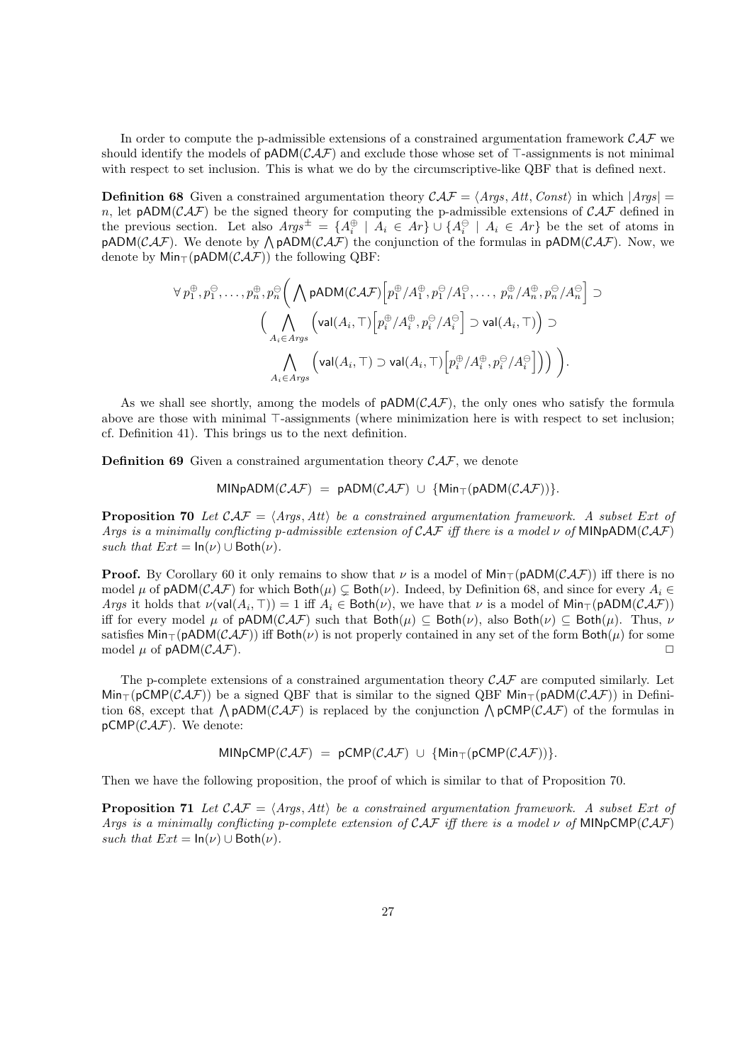In order to compute the p-admissible extensions of a constrained argumentation framework *CAF* we should identify the models of pADM(*CAF*) and exclude those whose set of *⊤*-assignments is not minimal with respect to set inclusion. This is what we do by the circumscriptive-like QBF that is defined next.

**Definition 68** Given a constrained argumentation theory  $\mathcal{CAF} = \langle \mathcal{A}\mathcal{rgs}, \mathcal{A}tt, \mathcal{C}oust \rangle$  in which  $|\mathcal{A}\mathcal{rgs}| =$ *n*, let  $pADM(CAF)$  be the signed theory for computing the p-admissible extensions of  $CAT$  defined in the previous section. Let also  $Args^{\pm} = \{A_i^{\oplus} \mid A_i \in Ar\} \cup \{A_i^{\ominus} \mid A_i \in Ar\}$  be the set of atoms in  $pADM(CAF)$ . We denote by  $\bigwedge pADM(CAF)$  the conjunction of the formulas in  $pADM(CAF)$ . Now, we denote by Min*⊤*(pADM(*CAF*)) the following QBF:

$$
\forall p_1^{\oplus}, p_1^{\ominus}, \dots, p_n^{\oplus}, p_n^{\ominus} \Big( \bigwedge \mathsf{pADM}(\mathcal{CAF}) \Big[ p_1^{\oplus} / A_1^{\oplus}, p_1^{\ominus} / A_1^{\ominus}, \dots, p_n^{\oplus} / A_n^{\oplus}, p_n^{\ominus} / A_n^{\ominus} \Big] \supset \\ \Big( \bigwedge \limits_{A_i \in \mathit{Arys}} \Big( \mathsf{val}(A_i, \top) \Big[ p_i^{\oplus} / A_i^{\oplus}, p_i^{\ominus} / A_i^{\ominus} \Big] \supset \mathsf{val}(A_i, \top) \Big) \supset \\ \bigwedge \limits_{A_i \in \mathit{Arys}} \Big( \mathsf{val}(A_i, \top) \supset \mathsf{val}(A_i, \top) \Big[ p_i^{\oplus} / A_i^{\oplus}, p_i^{\ominus} / A_i^{\ominus} \Big] \Big) \Big) \Big).
$$

As we shall see shortly, among the models of  $\mathsf{pADM}(\mathcal{CAT})$ , the only ones who satisfy the formula above are those with minimal *⊤*-assignments (where minimization here is with respect to set inclusion; cf. Definition 41). This brings us to the next definition.

**Definition 69** Given a constrained argumentation theory *CAF*, we denote

$$
\mathsf{MINDADM}(\mathcal{CAF}) = \mathsf{pADM}(\mathcal{CAF}) \cup \{\mathsf{Min}_{\top}(\mathsf{pADM}(\mathcal{CAF}))\}.
$$

**Proposition 70** Let  $\mathcal{CAF} = \langle \mathcal{A} \mathcal{rgs}, \mathcal{A} \mathcal{t} \rangle$  be a constrained argumentation framework. A subset Ext of *Args is a minimally conflicting p-admissible extension of CAF iff there is a model ν of* MINpADM(*CAF*) *such that*  $Ext = \ln(\nu) \cup Both(\nu)$ .

**Proof.** By Corollary 60 it only remains to show that *ν* is a model of  $\text{Min}_{\top}(\text{pADM}(\mathcal{CAT}))$  iff there is no model  $\mu$  of pADM( $\mathcal{CAF}$ ) for which Both( $\mu$ )  $\subsetneq$  Both( $\nu$ ). Indeed, by Definition 68, and since for every  $A_i \in$ *Args* it holds that  $\nu(\text{val}(A_i, \top)) = 1$  iff  $A_i \in \text{Both}(\nu)$ , we have that  $\nu$  is a model of  $\text{Min}_{\top}(\text{pADM}(\mathcal{CAF}))$ iff for every model *µ* of  $pADM(CAF)$  such that  $Both(\mu) \subseteq Both(\nu)$ , also  $Both(\nu) \subseteq Both(\mu)$ . Thus,  $\nu$ satisfies  $\text{Min}_{\top}(\text{pADM}(\mathcal{CAF}))$  iff  $\text{Both}(\nu)$  is not properly contained in any set of the form  $\text{Both}(\mu)$  for some model  $\mu$  of  $\text{pADM}(\mathcal{CAF})$ model  $\mu$  of  $pADM(CAF)$ .

The p-complete extensions of a constrained argumentation theory *CAF* are computed similarly. Let Min*⊤*(pCMP(*CAF*)) be a signed QBF that is similar to the signed QBF Min*⊤*(pADM(*CAF*)) in Definition 68, except that ∧ pADM(*CAF*) is replaced by the conjunction ∧ pCMP(*CAF*) of the formulas in  $pCMP(CAF)$ . We denote:

 $MINpCMP(CAF) = pCMP(CAF) \cup \{Min_T(pCMP(CAF))\}.$ 

Then we have the following proposition, the proof of which is similar to that of Proposition 70.

**Proposition 71** Let  $\mathcal{CAF} = \langle \mathcal{A} \mathcal{rgs}, \mathcal{A} \mathcal{t} \rangle$  be a constrained argumentation framework. A subset Ext of *Args is a minimally conflicting p-complete extension of CAF iff there is a model ν of* MINpCMP(*CAF*) *such that*  $Ext = \ln(\nu) \cup \text{Both}(\nu)$ .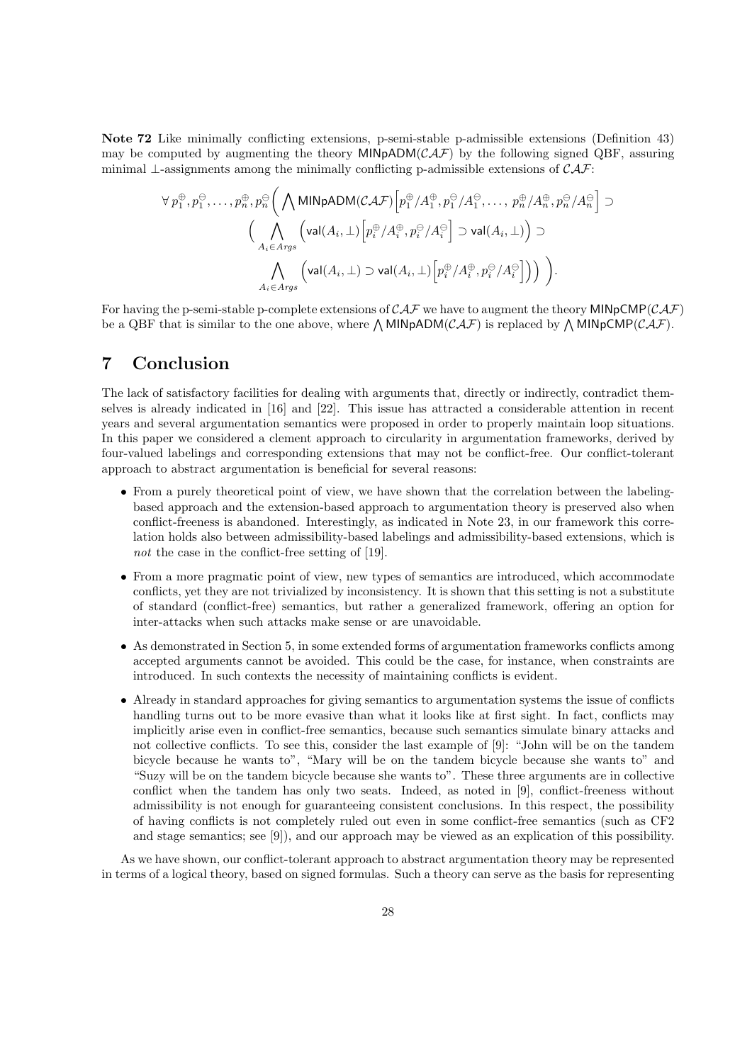**Note 72** Like minimally conflicting extensions, p-semi-stable p-admissible extensions (Definition 43) may be computed by augmenting the theory  $MINpADM(CAF)$  by the following signed QBF, assuring minimal *⊥*-assignments among the minimally conflicting p-admissible extensions of *CAF*:

$$
\forall p_1^{\oplus}, p_1^{\ominus}, \dots, p_n^{\oplus}, p_n^{\ominus} \Big( \bigwedge \text{MINpADM}(\mathcal{CAF}) \Big[ p_1^{\oplus} / A_1^{\oplus}, p_1^{\ominus} / A_1^{\ominus}, \dots, p_n^{\oplus} / A_n^{\oplus}, p_n^{\ominus} / A_n^{\ominus} \Big] \supset
$$
  

$$
\Big( \bigwedge_{A_i \in \text{Arys}} \Big( \text{val}(A_i, \bot) \Big[ p_i^{\oplus} / A_i^{\oplus}, p_i^{\ominus} / A_i^{\ominus} \Big] \supset \text{val}(A_i, \bot) \Big) \supset
$$
  

$$
\bigwedge_{A_i \in \text{Arys}} \Big( \text{val}(A_i, \bot) \supset \text{val}(A_i, \bot) \Big[ p_i^{\oplus} / A_i^{\oplus}, p_i^{\ominus} / A_i^{\ominus} \Big] \Big) \Big).
$$

For having the p-semi-stable p-complete extensions of *CAF* we have to augment the theory MINpCMP(*CAF*) be a QBF that is similar to the one above, where  $\bigwedge$  MINpADM(*CAF*) is replaced by  $\bigwedge$  MINpCMP(*CAF*).

# **7 Conclusion**

The lack of satisfactory facilities for dealing with arguments that, directly or indirectly, contradict themselves is already indicated in [16] and [22]. This issue has attracted a considerable attention in recent years and several argumentation semantics were proposed in order to properly maintain loop situations. In this paper we considered a clement approach to circularity in argumentation frameworks, derived by four-valued labelings and corresponding extensions that may not be conflict-free. Our conflict-tolerant approach to abstract argumentation is beneficial for several reasons:

- From a purely theoretical point of view, we have shown that the correlation between the labelingbased approach and the extension-based approach to argumentation theory is preserved also when conflict-freeness is abandoned. Interestingly, as indicated in Note 23, in our framework this correlation holds also between admissibility-based labelings and admissibility-based extensions, which is *not* the case in the conflict-free setting of [19].
- From a more pragmatic point of view, new types of semantics are introduced, which accommodate conflicts, yet they are not trivialized by inconsistency. It is shown that this setting is not a substitute of standard (conflict-free) semantics, but rather a generalized framework, offering an option for inter-attacks when such attacks make sense or are unavoidable.
- As demonstrated in Section 5, in some extended forms of argumentation frameworks conflicts among accepted arguments cannot be avoided. This could be the case, for instance, when constraints are introduced. In such contexts the necessity of maintaining conflicts is evident.
- Already in standard approaches for giving semantics to argumentation systems the issue of conflicts handling turns out to be more evasive than what it looks like at first sight. In fact, conflicts may implicitly arise even in conflict-free semantics, because such semantics simulate binary attacks and not collective conflicts. To see this, consider the last example of [9]: "John will be on the tandem bicycle because he wants to", "Mary will be on the tandem bicycle because she wants to" and "Suzy will be on the tandem bicycle because she wants to". These three arguments are in collective conflict when the tandem has only two seats. Indeed, as noted in [9], conflict-freeness without admissibility is not enough for guaranteeing consistent conclusions. In this respect, the possibility of having conflicts is not completely ruled out even in some conflict-free semantics (such as CF2 and stage semantics; see [9]), and our approach may be viewed as an explication of this possibility.

As we have shown, our conflict-tolerant approach to abstract argumentation theory may be represented in terms of a logical theory, based on signed formulas. Such a theory can serve as the basis for representing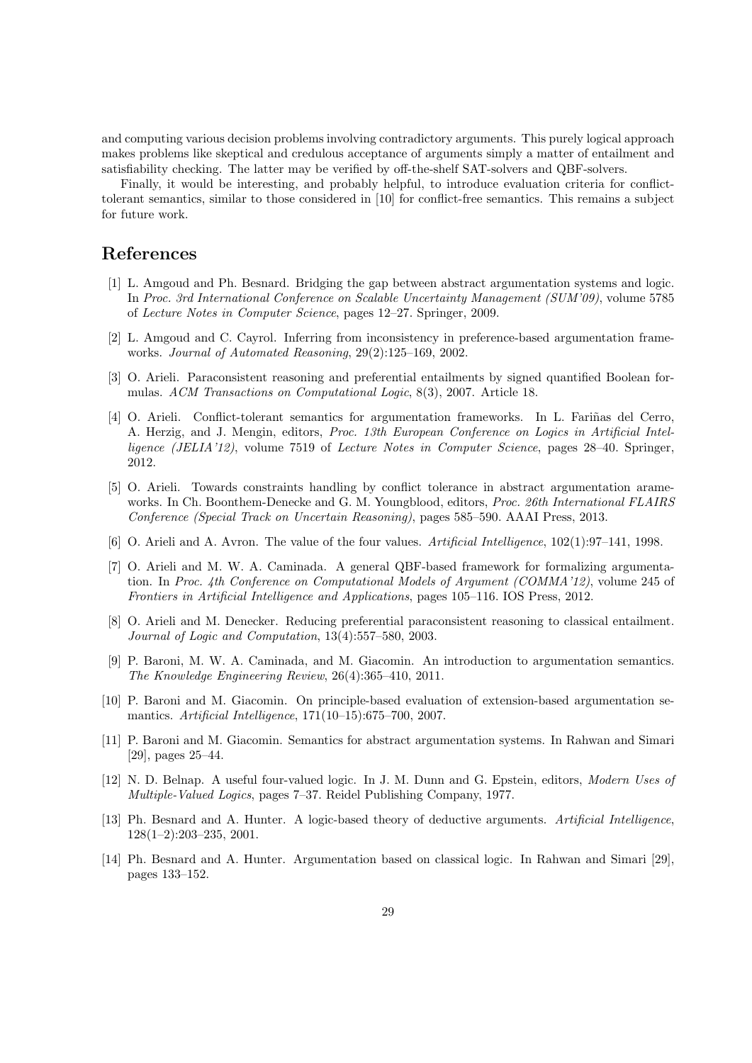and computing various decision problems involving contradictory arguments. This purely logical approach makes problems like skeptical and credulous acceptance of arguments simply a matter of entailment and satisfiability checking. The latter may be verified by off-the-shelf SAT-solvers and QBF-solvers.

Finally, it would be interesting, and probably helpful, to introduce evaluation criteria for conflicttolerant semantics, similar to those considered in [10] for conflict-free semantics. This remains a subject for future work.

# **References**

- [1] L. Amgoud and Ph. Besnard. Bridging the gap between abstract argumentation systems and logic. In *Proc. 3rd International Conference on Scalable Uncertainty Management (SUM'09)*, volume 5785 of *Lecture Notes in Computer Science*, pages 12–27. Springer, 2009.
- [2] L. Amgoud and C. Cayrol. Inferring from inconsistency in preference-based argumentation frameworks. *Journal of Automated Reasoning*, 29(2):125–169, 2002.
- [3] O. Arieli. Paraconsistent reasoning and preferential entailments by signed quantified Boolean formulas. *ACM Transactions on Computational Logic*, 8(3), 2007. Article 18.
- [4] O. Arieli. Conflict-tolerant semantics for argumentation frameworks. In L. Fariñas del Cerro, A. Herzig, and J. Mengin, editors, *Proc. 13th European Conference on Logics in Artificial Intelligence (JELIA'12)*, volume 7519 of *Lecture Notes in Computer Science*, pages 28–40. Springer, 2012.
- [5] O. Arieli. Towards constraints handling by conflict tolerance in abstract argumentation arameworks. In Ch. Boonthem-Denecke and G. M. Youngblood, editors, *Proc. 26th International FLAIRS Conference (Special Track on Uncertain Reasoning)*, pages 585–590. AAAI Press, 2013.
- [6] O. Arieli and A. Avron. The value of the four values. *Artificial Intelligence*, 102(1):97–141, 1998.
- [7] O. Arieli and M. W. A. Caminada. A general QBF-based framework for formalizing argumentation. In *Proc. 4th Conference on Computational Models of Argument (COMMA'12)*, volume 245 of *Frontiers in Artificial Intelligence and Applications*, pages 105–116. IOS Press, 2012.
- [8] O. Arieli and M. Denecker. Reducing preferential paraconsistent reasoning to classical entailment. *Journal of Logic and Computation*, 13(4):557–580, 2003.
- [9] P. Baroni, M. W. A. Caminada, and M. Giacomin. An introduction to argumentation semantics. *The Knowledge Engineering Review*, 26(4):365–410, 2011.
- [10] P. Baroni and M. Giacomin. On principle-based evaluation of extension-based argumentation semantics. *Artificial Intelligence*, 171(10–15):675–700, 2007.
- [11] P. Baroni and M. Giacomin. Semantics for abstract argumentation systems. In Rahwan and Simari [29], pages 25–44.
- [12] N. D. Belnap. A useful four-valued logic. In J. M. Dunn and G. Epstein, editors, *Modern Uses of Multiple-Valued Logics*, pages 7–37. Reidel Publishing Company, 1977.
- [13] Ph. Besnard and A. Hunter. A logic-based theory of deductive arguments. *Artificial Intelligence*, 128(1–2):203–235, 2001.
- [14] Ph. Besnard and A. Hunter. Argumentation based on classical logic. In Rahwan and Simari [29], pages 133–152.